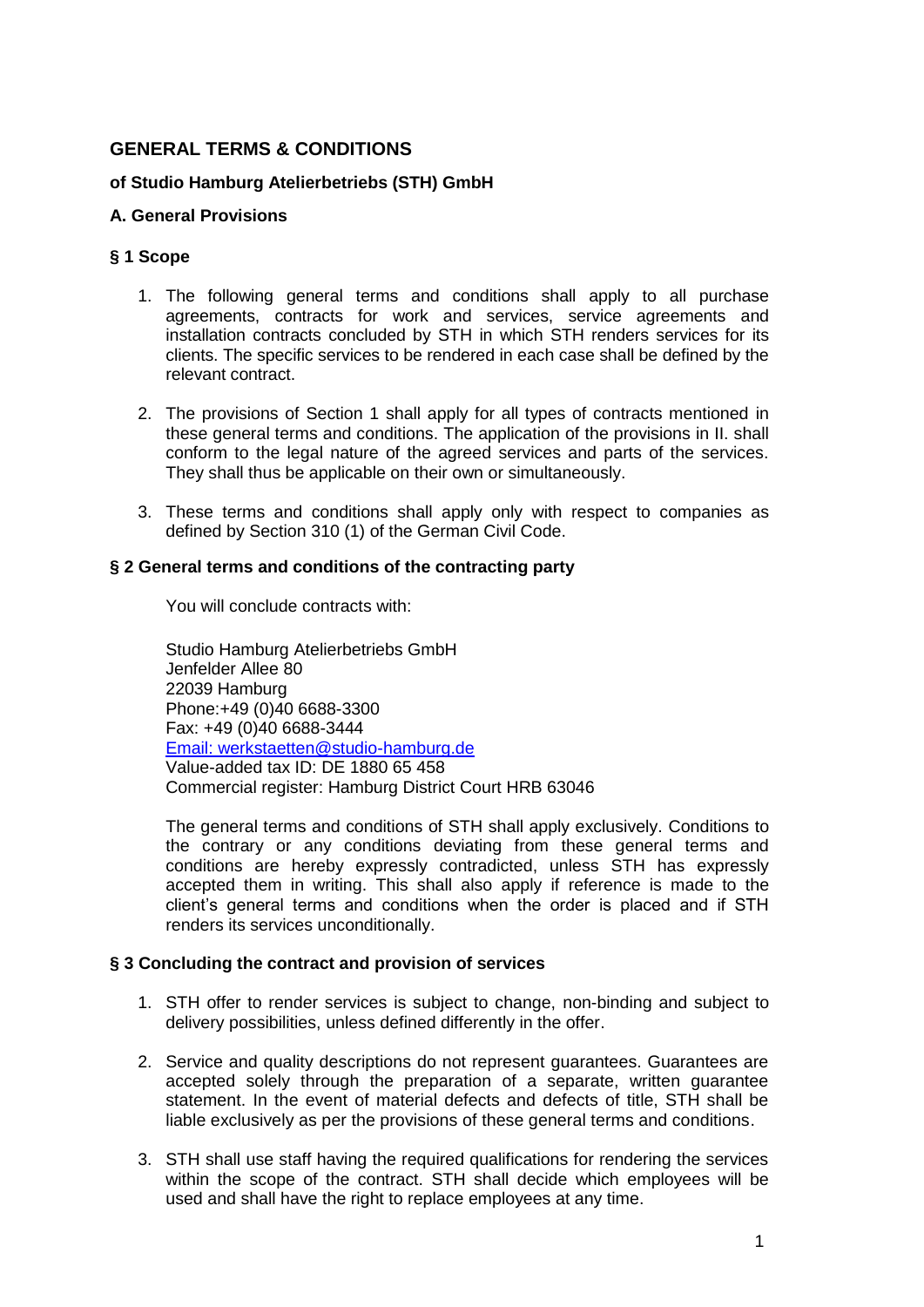# **GENERAL TERMS & CONDITIONS**

## **of Studio Hamburg Atelierbetriebs (STH) GmbH**

## **A. General Provisions**

### **§ 1 Scope**

- 1. The following general terms and conditions shall apply to all purchase agreements, contracts for work and services, service agreements and installation contracts concluded by STH in which STH renders services for its clients. The specific services to be rendered in each case shall be defined by the relevant contract.
- 2. The provisions of Section 1 shall apply for all types of contracts mentioned in these general terms and conditions. The application of the provisions in II. shall conform to the legal nature of the agreed services and parts of the services. They shall thus be applicable on their own or simultaneously.
- 3. These terms and conditions shall apply only with respect to companies as defined by Section 310 (1) of the German Civil Code.

### **§ 2 General terms and conditions of the contracting party**

You will conclude contracts with:

Studio Hamburg Atelierbetriebs GmbH Jenfelder Allee 80 22039 Hamburg Phone:+49 (0)40 6688-3300 Fax: +49 (0)40 6688-3444 [Email: werkstaetten@studio-hamburg.de](mailto:werkstaetten@studio-hamburg.de) Value-added tax ID: DE 1880 65 458 Commercial register: Hamburg District Court HRB 63046

The general terms and conditions of STH shall apply exclusively. Conditions to the contrary or any conditions deviating from these general terms and conditions are hereby expressly contradicted, unless STH has expressly accepted them in writing. This shall also apply if reference is made to the client's general terms and conditions when the order is placed and if STH renders its services unconditionally.

## **§ 3 Concluding the contract and provision of services**

- 1. STH offer to render services is subject to change, non-binding and subject to delivery possibilities, unless defined differently in the offer.
- 2. Service and quality descriptions do not represent guarantees. Guarantees are accepted solely through the preparation of a separate, written guarantee statement. In the event of material defects and defects of title, STH shall be liable exclusively as per the provisions of these general terms and conditions.
- 3. STH shall use staff having the required qualifications for rendering the services within the scope of the contract. STH shall decide which employees will be used and shall have the right to replace employees at any time.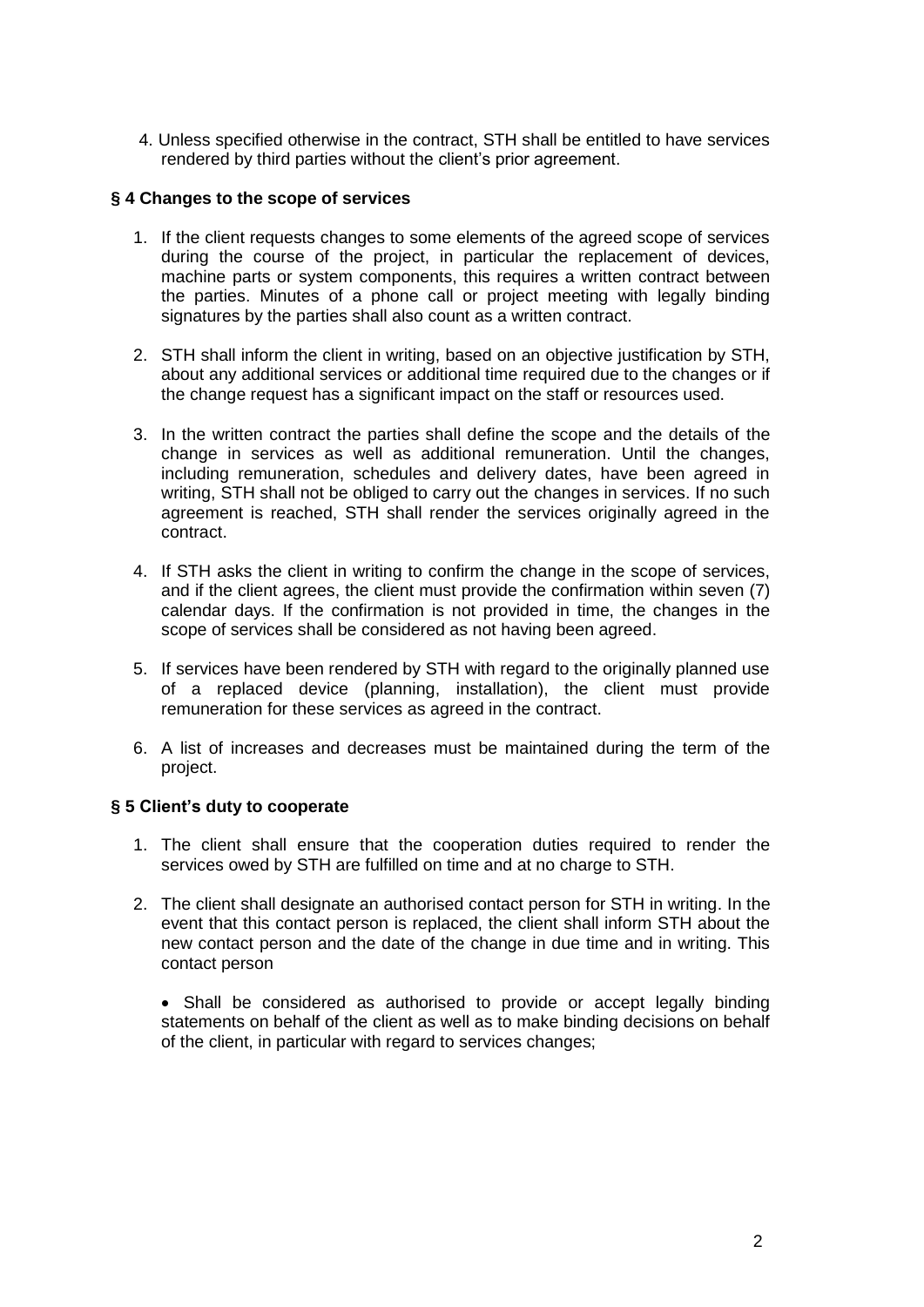4. Unless specified otherwise in the contract, STH shall be entitled to have services rendered by third parties without the client's prior agreement.

### **§ 4 Changes to the scope of services**

- 1. If the client requests changes to some elements of the agreed scope of services during the course of the project, in particular the replacement of devices, machine parts or system components, this requires a written contract between the parties. Minutes of a phone call or project meeting with legally binding signatures by the parties shall also count as a written contract.
- 2. STH shall inform the client in writing, based on an objective justification by STH, about any additional services or additional time required due to the changes or if the change request has a significant impact on the staff or resources used.
- 3. In the written contract the parties shall define the scope and the details of the change in services as well as additional remuneration. Until the changes, including remuneration, schedules and delivery dates, have been agreed in writing, STH shall not be obliged to carry out the changes in services. If no such agreement is reached, STH shall render the services originally agreed in the contract.
- 4. If STH asks the client in writing to confirm the change in the scope of services, and if the client agrees, the client must provide the confirmation within seven (7) calendar days. If the confirmation is not provided in time, the changes in the scope of services shall be considered as not having been agreed.
- 5. If services have been rendered by STH with regard to the originally planned use of a replaced device (planning, installation), the client must provide remuneration for these services as agreed in the contract.
- 6. A list of increases and decreases must be maintained during the term of the project.

## **§ 5 Client's duty to cooperate**

- 1. The client shall ensure that the cooperation duties required to render the services owed by STH are fulfilled on time and at no charge to STH.
- 2. The client shall designate an authorised contact person for STH in writing. In the event that this contact person is replaced, the client shall inform STH about the new contact person and the date of the change in due time and in writing. This contact person

 Shall be considered as authorised to provide or accept legally binding statements on behalf of the client as well as to make binding decisions on behalf of the client, in particular with regard to services changes;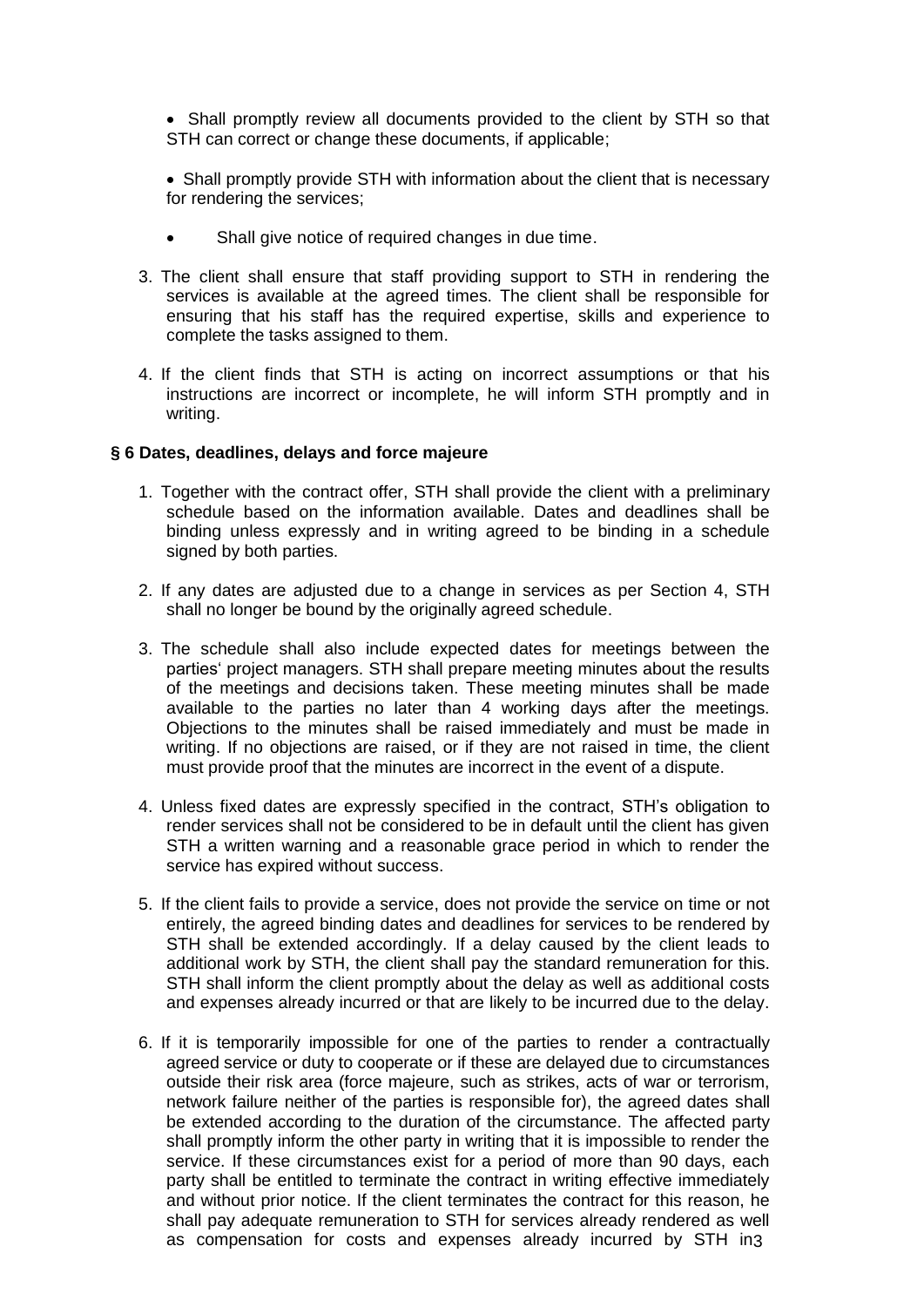• Shall promptly review all documents provided to the client by STH so that STH can correct or change these documents, if applicable;

• Shall promptly provide STH with information about the client that is necessary for rendering the services;

- Shall give notice of required changes in due time.
- 3. The client shall ensure that staff providing support to STH in rendering the services is available at the agreed times. The client shall be responsible for ensuring that his staff has the required expertise, skills and experience to complete the tasks assigned to them.
- 4. If the client finds that STH is acting on incorrect assumptions or that his instructions are incorrect or incomplete, he will inform STH promptly and in writing.

### **§ 6 Dates, deadlines, delays and force majeure**

- 1. Together with the contract offer, STH shall provide the client with a preliminary schedule based on the information available. Dates and deadlines shall be binding unless expressly and in writing agreed to be binding in a schedule signed by both parties.
- 2. If any dates are adjusted due to a change in services as per Section 4, STH shall no longer be bound by the originally agreed schedule.
- 3. The schedule shall also include expected dates for meetings between the parties' project managers. STH shall prepare meeting minutes about the results of the meetings and decisions taken. These meeting minutes shall be made available to the parties no later than 4 working days after the meetings. Objections to the minutes shall be raised immediately and must be made in writing. If no objections are raised, or if they are not raised in time, the client must provide proof that the minutes are incorrect in the event of a dispute.
- 4. Unless fixed dates are expressly specified in the contract, STH's obligation to render services shall not be considered to be in default until the client has given STH a written warning and a reasonable grace period in which to render the service has expired without success.
- 5. If the client fails to provide a service, does not provide the service on time or not entirely, the agreed binding dates and deadlines for services to be rendered by STH shall be extended accordingly. If a delay caused by the client leads to additional work by STH, the client shall pay the standard remuneration for this. STH shall inform the client promptly about the delay as well as additional costs and expenses already incurred or that are likely to be incurred due to the delay.
- 6. If it is temporarily impossible for one of the parties to render a contractually agreed service or duty to cooperate or if these are delayed due to circumstances outside their risk area (force majeure, such as strikes, acts of war or terrorism, network failure neither of the parties is responsible for), the agreed dates shall be extended according to the duration of the circumstance. The affected party shall promptly inform the other party in writing that it is impossible to render the service. If these circumstances exist for a period of more than 90 days, each party shall be entitled to terminate the contract in writing effective immediately and without prior notice. If the client terminates the contract for this reason, he shall pay adequate remuneration to STH for services already rendered as well as compensation for costs and expenses already incurred by STH in 3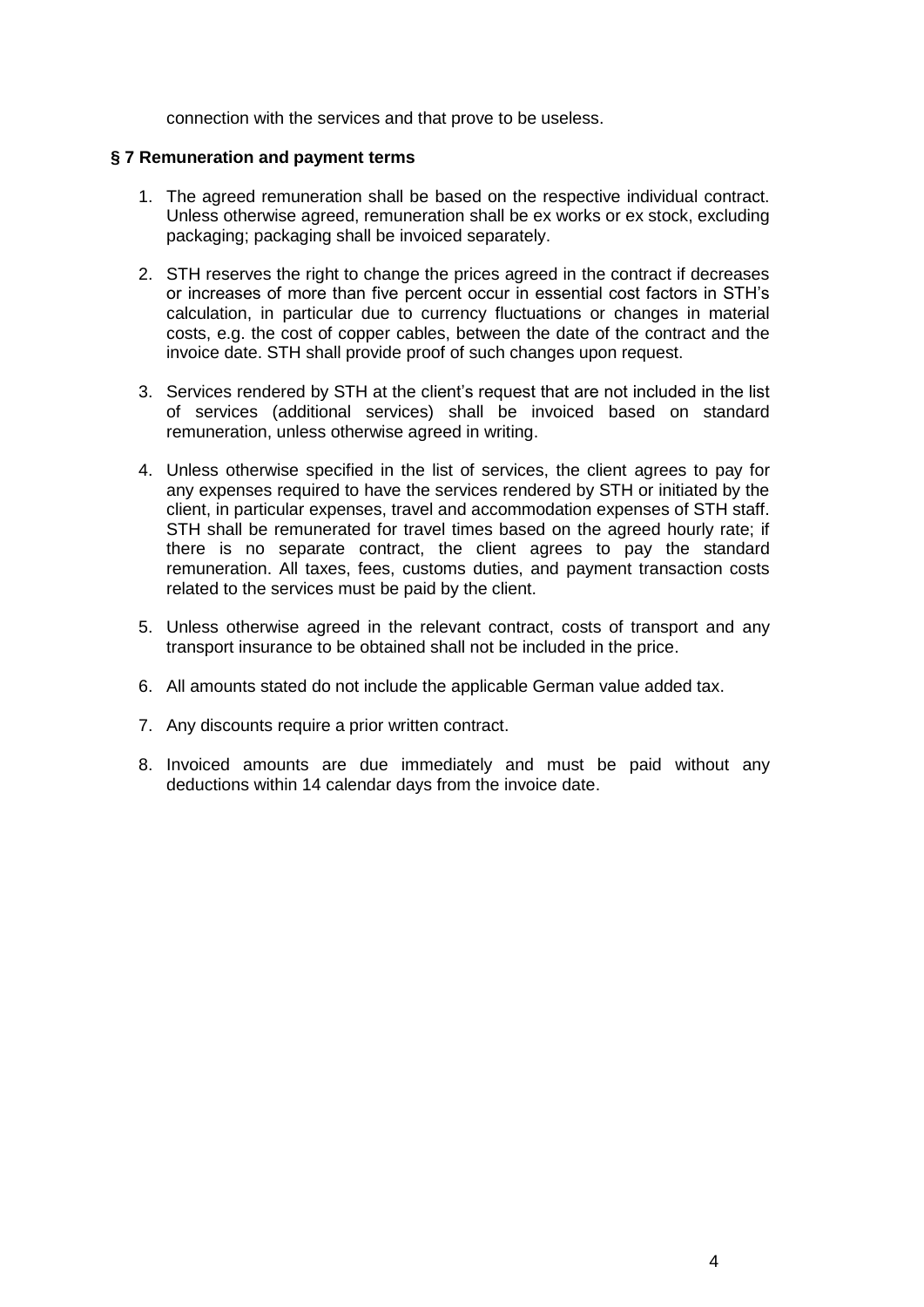connection with the services and that prove to be useless.

### **§ 7 Remuneration and payment terms**

- 1. The agreed remuneration shall be based on the respective individual contract. Unless otherwise agreed, remuneration shall be ex works or ex stock, excluding packaging; packaging shall be invoiced separately.
- 2. STH reserves the right to change the prices agreed in the contract if decreases or increases of more than five percent occur in essential cost factors in STH's calculation, in particular due to currency fluctuations or changes in material costs, e.g. the cost of copper cables, between the date of the contract and the invoice date. STH shall provide proof of such changes upon request.
- 3. Services rendered by STH at the client's request that are not included in the list of services (additional services) shall be invoiced based on standard remuneration, unless otherwise agreed in writing.
- 4. Unless otherwise specified in the list of services, the client agrees to pay for any expenses required to have the services rendered by STH or initiated by the client, in particular expenses, travel and accommodation expenses of STH staff. STH shall be remunerated for travel times based on the agreed hourly rate; if there is no separate contract, the client agrees to pay the standard remuneration. All taxes, fees, customs duties, and payment transaction costs related to the services must be paid by the client.
- 5. Unless otherwise agreed in the relevant contract, costs of transport and any transport insurance to be obtained shall not be included in the price.
- 6. All amounts stated do not include the applicable German value added tax.
- 7. Any discounts require a prior written contract.
- 8. Invoiced amounts are due immediately and must be paid without any deductions within 14 calendar days from the invoice date.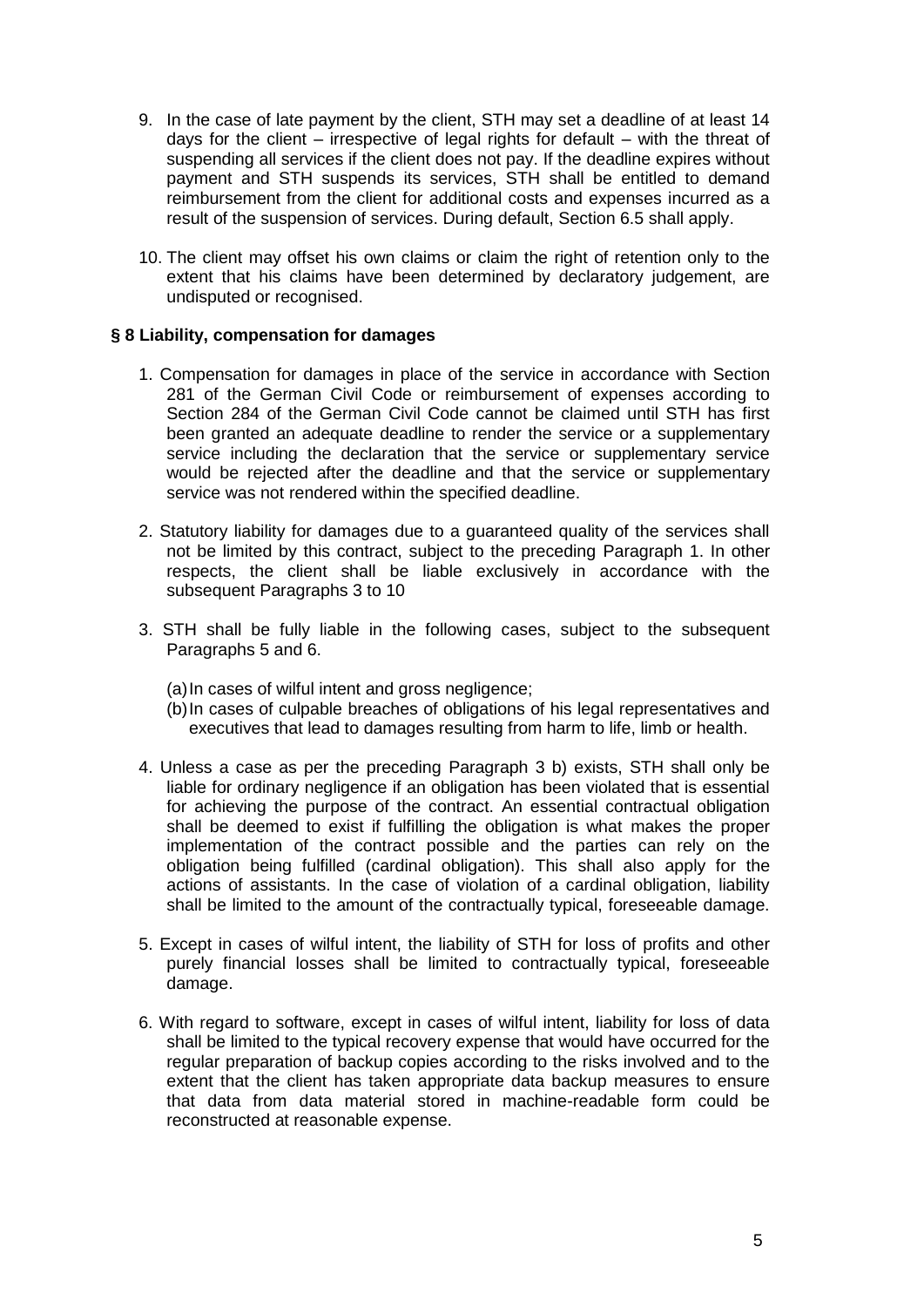- 9. In the case of late payment by the client, STH may set a deadline of at least 14 days for the client – irrespective of legal rights for default – with the threat of suspending all services if the client does not pay. If the deadline expires without payment and STH suspends its services, STH shall be entitled to demand reimbursement from the client for additional costs and expenses incurred as a result of the suspension of services. During default, Section 6.5 shall apply.
- 10. The client may offset his own claims or claim the right of retention only to the extent that his claims have been determined by declaratory judgement, are undisputed or recognised.

## **§ 8 Liability, compensation for damages**

- 1. Compensation for damages in place of the service in accordance with Section 281 of the German Civil Code or reimbursement of expenses according to Section 284 of the German Civil Code cannot be claimed until STH has first been granted an adequate deadline to render the service or a supplementary service including the declaration that the service or supplementary service would be rejected after the deadline and that the service or supplementary service was not rendered within the specified deadline.
- 2. Statutory liability for damages due to a guaranteed quality of the services shall not be limited by this contract, subject to the preceding Paragraph 1. In other respects, the client shall be liable exclusively in accordance with the subsequent Paragraphs 3 to 10
- 3. STH shall be fully liable in the following cases, subject to the subsequent Paragraphs 5 and 6.
	- (a)In cases of wilful intent and gross negligence;
	- (b)In cases of culpable breaches of obligations of his legal representatives and executives that lead to damages resulting from harm to life, limb or health.
- 4. Unless a case as per the preceding Paragraph 3 b) exists, STH shall only be liable for ordinary negligence if an obligation has been violated that is essential for achieving the purpose of the contract. An essential contractual obligation shall be deemed to exist if fulfilling the obligation is what makes the proper implementation of the contract possible and the parties can rely on the obligation being fulfilled (cardinal obligation). This shall also apply for the actions of assistants. In the case of violation of a cardinal obligation, liability shall be limited to the amount of the contractually typical, foreseeable damage.
- 5. Except in cases of wilful intent, the liability of STH for loss of profits and other purely financial losses shall be limited to contractually typical, foreseeable damage.
- 6. With regard to software, except in cases of wilful intent, liability for loss of data shall be limited to the typical recovery expense that would have occurred for the regular preparation of backup copies according to the risks involved and to the extent that the client has taken appropriate data backup measures to ensure that data from data material stored in machine-readable form could be reconstructed at reasonable expense.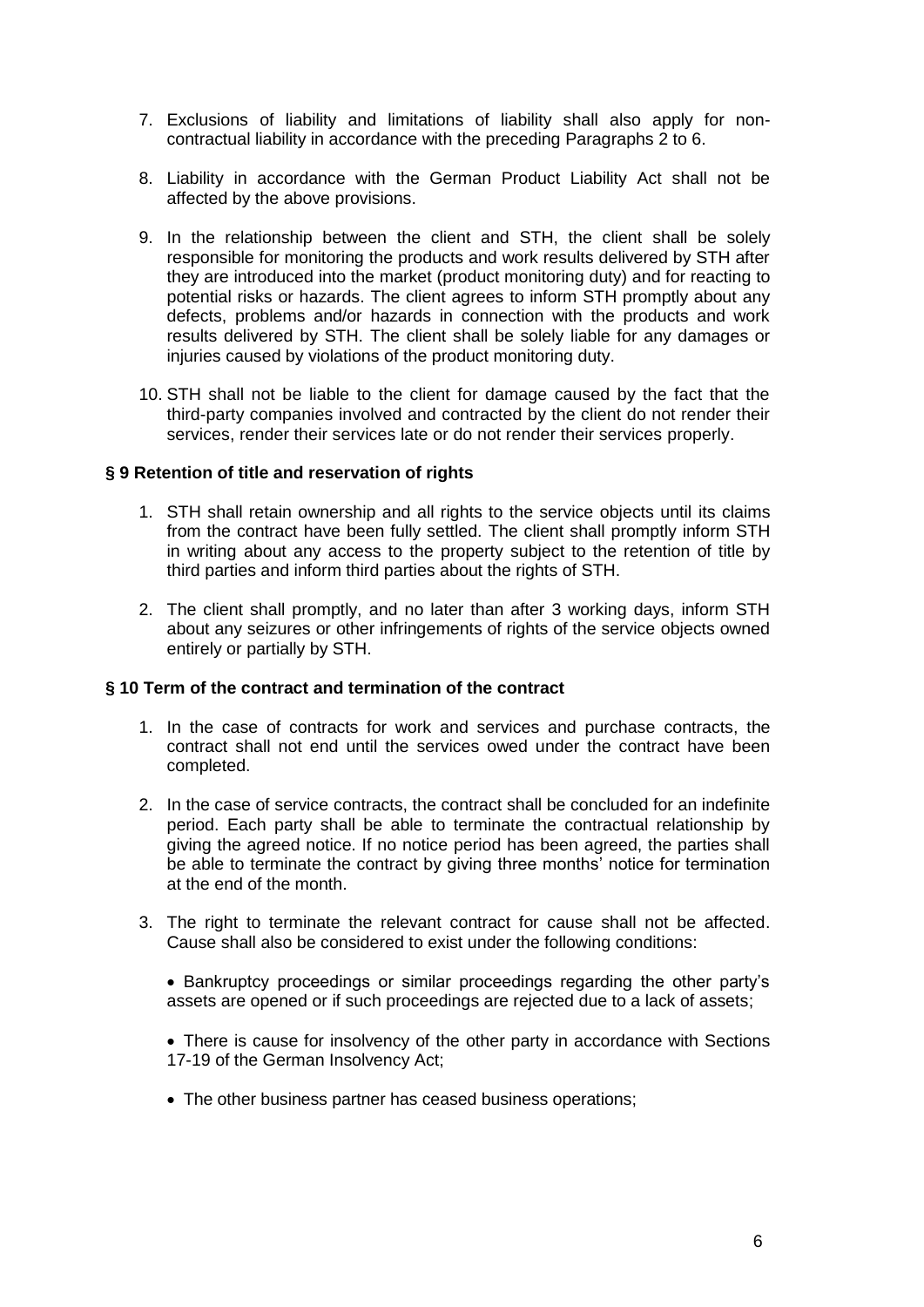- 7. Exclusions of liability and limitations of liability shall also apply for noncontractual liability in accordance with the preceding Paragraphs 2 to 6.
- 8. Liability in accordance with the German Product Liability Act shall not be affected by the above provisions.
- 9. In the relationship between the client and STH, the client shall be solely responsible for monitoring the products and work results delivered by STH after they are introduced into the market (product monitoring duty) and for reacting to potential risks or hazards. The client agrees to inform STH promptly about any defects, problems and/or hazards in connection with the products and work results delivered by STH. The client shall be solely liable for any damages or injuries caused by violations of the product monitoring duty.
- 10. STH shall not be liable to the client for damage caused by the fact that the third-party companies involved and contracted by the client do not render their services, render their services late or do not render their services properly.

### **§ 9 Retention of title and reservation of rights**

- 1. STH shall retain ownership and all rights to the service objects until its claims from the contract have been fully settled. The client shall promptly inform STH in writing about any access to the property subject to the retention of title by third parties and inform third parties about the rights of STH.
- 2. The client shall promptly, and no later than after 3 working days, inform STH about any seizures or other infringements of rights of the service objects owned entirely or partially by STH.

#### **§ 10 Term of the contract and termination of the contract**

- 1. In the case of contracts for work and services and purchase contracts, the contract shall not end until the services owed under the contract have been completed.
- 2. In the case of service contracts, the contract shall be concluded for an indefinite period. Each party shall be able to terminate the contractual relationship by giving the agreed notice. If no notice period has been agreed, the parties shall be able to terminate the contract by giving three months' notice for termination at the end of the month.
- 3. The right to terminate the relevant contract for cause shall not be affected. Cause shall also be considered to exist under the following conditions:

 Bankruptcy proceedings or similar proceedings regarding the other party's assets are opened or if such proceedings are rejected due to a lack of assets;

• There is cause for insolvency of the other party in accordance with Sections 17-19 of the German Insolvency Act;

• The other business partner has ceased business operations: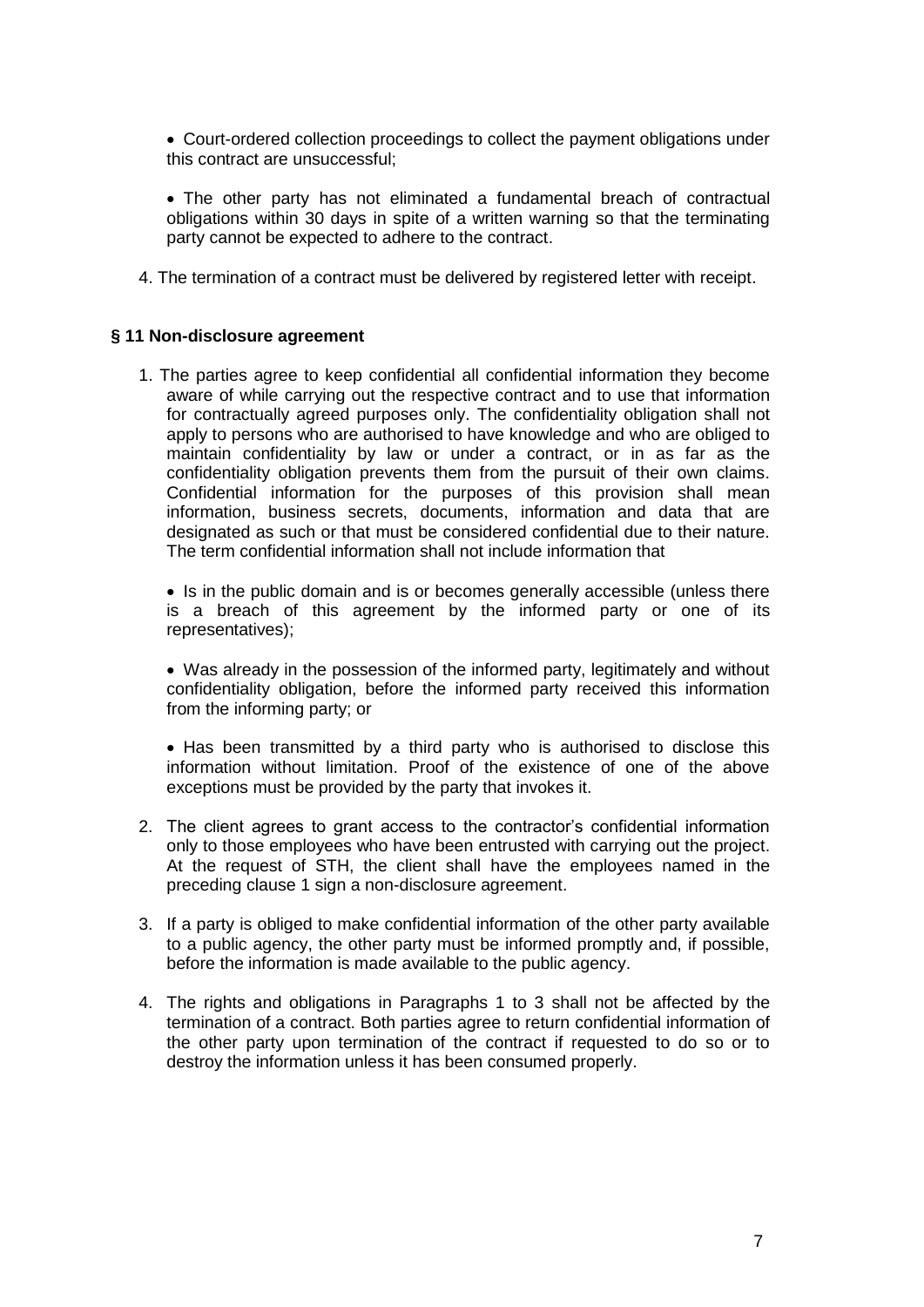Court-ordered collection proceedings to collect the payment obligations under this contract are unsuccessful;

 The other party has not eliminated a fundamental breach of contractual obligations within 30 days in spite of a written warning so that the terminating party cannot be expected to adhere to the contract.

4. The termination of a contract must be delivered by registered letter with receipt.

#### **§ 11 Non-disclosure agreement**

1. The parties agree to keep confidential all confidential information they become aware of while carrying out the respective contract and to use that information for contractually agreed purposes only. The confidentiality obligation shall not apply to persons who are authorised to have knowledge and who are obliged to maintain confidentiality by law or under a contract, or in as far as the confidentiality obligation prevents them from the pursuit of their own claims. Confidential information for the purposes of this provision shall mean information, business secrets, documents, information and data that are designated as such or that must be considered confidential due to their nature. The term confidential information shall not include information that

• Is in the public domain and is or becomes generally accessible (unless there is a breach of this agreement by the informed party or one of its representatives);

 Was already in the possession of the informed party, legitimately and without confidentiality obligation, before the informed party received this information from the informing party; or

• Has been transmitted by a third party who is authorised to disclose this information without limitation. Proof of the existence of one of the above exceptions must be provided by the party that invokes it.

- 2. The client agrees to grant access to the contractor's confidential information only to those employees who have been entrusted with carrying out the project. At the request of STH, the client shall have the employees named in the preceding clause 1 sign a non-disclosure agreement.
- 3. If a party is obliged to make confidential information of the other party available to a public agency, the other party must be informed promptly and, if possible, before the information is made available to the public agency.
- 4. The rights and obligations in Paragraphs 1 to 3 shall not be affected by the termination of a contract. Both parties agree to return confidential information of the other party upon termination of the contract if requested to do so or to destroy the information unless it has been consumed properly.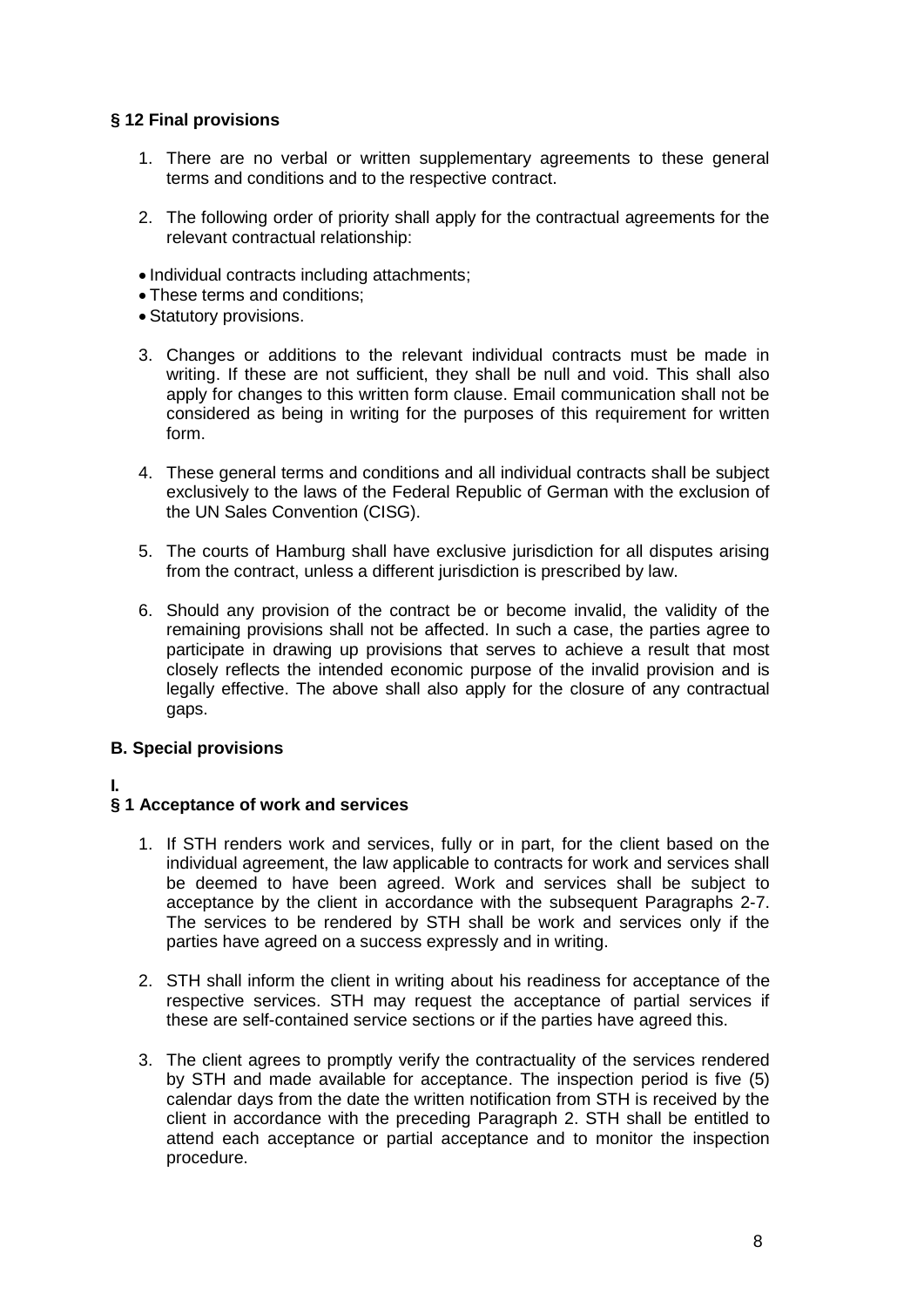## **§ 12 Final provisions**

- 1. There are no verbal or written supplementary agreements to these general terms and conditions and to the respective contract.
- 2. The following order of priority shall apply for the contractual agreements for the relevant contractual relationship:
- Individual contracts including attachments;
- These terms and conditions;
- Statutory provisions.
- 3. Changes or additions to the relevant individual contracts must be made in writing. If these are not sufficient, they shall be null and void. This shall also apply for changes to this written form clause. Email communication shall not be considered as being in writing for the purposes of this requirement for written form.
- 4. These general terms and conditions and all individual contracts shall be subject exclusively to the laws of the Federal Republic of German with the exclusion of the UN Sales Convention (CISG).
- 5. The courts of Hamburg shall have exclusive jurisdiction for all disputes arising from the contract, unless a different jurisdiction is prescribed by law.
- 6. Should any provision of the contract be or become invalid, the validity of the remaining provisions shall not be affected. In such a case, the parties agree to participate in drawing up provisions that serves to achieve a result that most closely reflects the intended economic purpose of the invalid provision and is legally effective. The above shall also apply for the closure of any contractual gaps.

## **B. Special provisions**

## **I.**

## **§ 1 Acceptance of work and services**

- 1. If STH renders work and services, fully or in part, for the client based on the individual agreement, the law applicable to contracts for work and services shall be deemed to have been agreed. Work and services shall be subject to acceptance by the client in accordance with the subsequent Paragraphs 2-7. The services to be rendered by STH shall be work and services only if the parties have agreed on a success expressly and in writing.
- 2. STH shall inform the client in writing about his readiness for acceptance of the respective services. STH may request the acceptance of partial services if these are self-contained service sections or if the parties have agreed this.
- 3. The client agrees to promptly verify the contractuality of the services rendered by STH and made available for acceptance. The inspection period is five (5) calendar days from the date the written notification from STH is received by the client in accordance with the preceding Paragraph 2. STH shall be entitled to attend each acceptance or partial acceptance and to monitor the inspection procedure.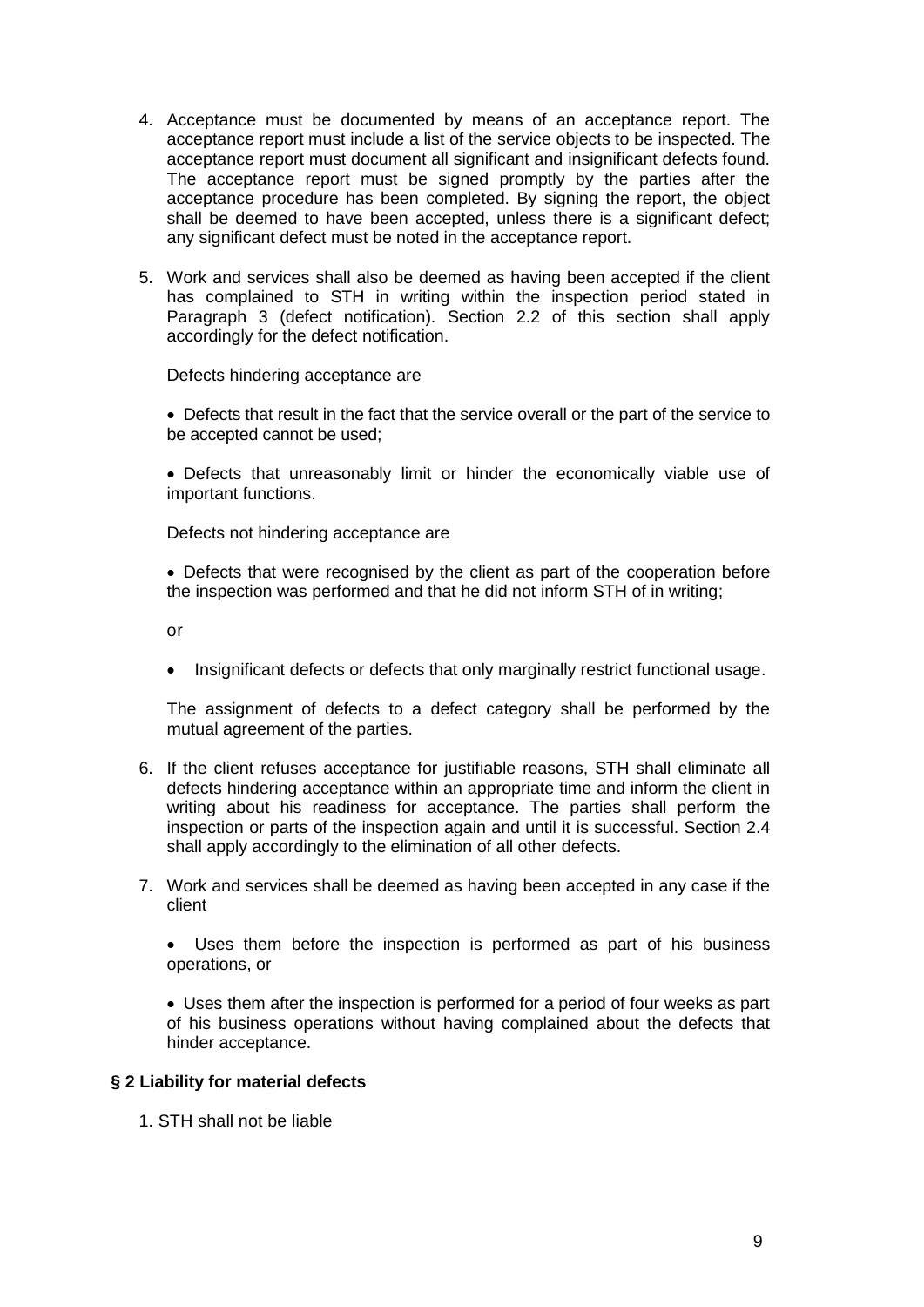- 4. Acceptance must be documented by means of an acceptance report. The acceptance report must include a list of the service objects to be inspected. The acceptance report must document all significant and insignificant defects found. The acceptance report must be signed promptly by the parties after the acceptance procedure has been completed. By signing the report, the object shall be deemed to have been accepted, unless there is a significant defect; any significant defect must be noted in the acceptance report.
- 5. Work and services shall also be deemed as having been accepted if the client has complained to STH in writing within the inspection period stated in Paragraph 3 (defect notification). Section 2.2 of this section shall apply accordingly for the defect notification.

Defects hindering acceptance are

 Defects that result in the fact that the service overall or the part of the service to be accepted cannot be used;

 Defects that unreasonably limit or hinder the economically viable use of important functions.

Defects not hindering acceptance are

 Defects that were recognised by the client as part of the cooperation before the inspection was performed and that he did not inform STH of in writing;

or

• Insignificant defects or defects that only marginally restrict functional usage.

The assignment of defects to a defect category shall be performed by the mutual agreement of the parties.

- 6. If the client refuses acceptance for justifiable reasons, STH shall eliminate all defects hindering acceptance within an appropriate time and inform the client in writing about his readiness for acceptance. The parties shall perform the inspection or parts of the inspection again and until it is successful. Section 2.4 shall apply accordingly to the elimination of all other defects.
- 7. Work and services shall be deemed as having been accepted in any case if the client

 Uses them before the inspection is performed as part of his business operations, or

 Uses them after the inspection is performed for a period of four weeks as part of his business operations without having complained about the defects that hinder acceptance.

### **§ 2 Liability for material defects**

1. STH shall not be liable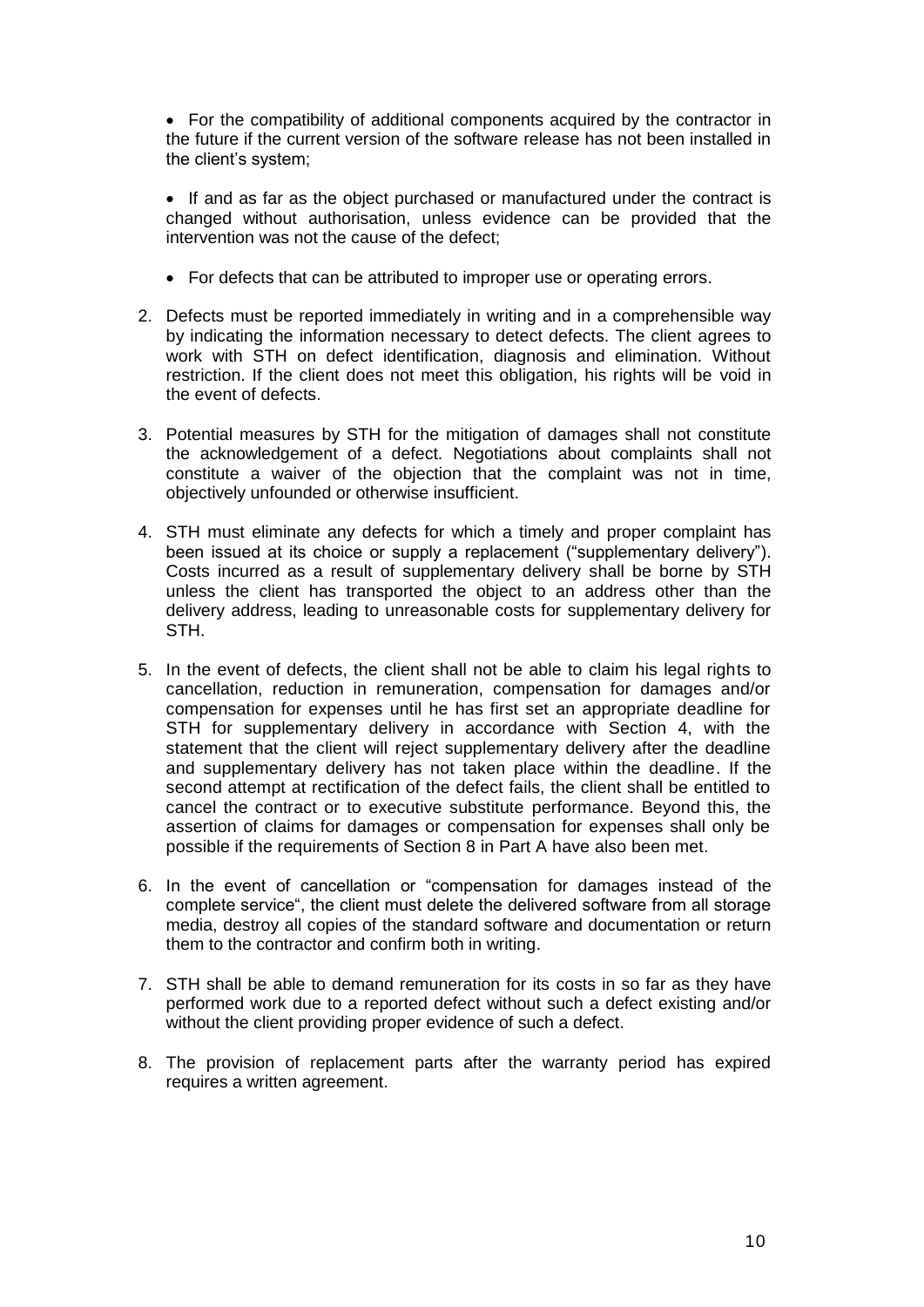For the compatibility of additional components acquired by the contractor in the future if the current version of the software release has not been installed in the client's system;

• If and as far as the object purchased or manufactured under the contract is changed without authorisation, unless evidence can be provided that the intervention was not the cause of the defect;

- For defects that can be attributed to improper use or operating errors.
- 2. Defects must be reported immediately in writing and in a comprehensible way by indicating the information necessary to detect defects. The client agrees to work with STH on defect identification, diagnosis and elimination. Without restriction. If the client does not meet this obligation, his rights will be void in the event of defects.
- 3. Potential measures by STH for the mitigation of damages shall not constitute the acknowledgement of a defect. Negotiations about complaints shall not constitute a waiver of the objection that the complaint was not in time, objectively unfounded or otherwise insufficient.
- 4. STH must eliminate any defects for which a timely and proper complaint has been issued at its choice or supply a replacement ("supplementary delivery"). Costs incurred as a result of supplementary delivery shall be borne by STH unless the client has transported the object to an address other than the delivery address, leading to unreasonable costs for supplementary delivery for STH.
- 5. In the event of defects, the client shall not be able to claim his legal rights to cancellation, reduction in remuneration, compensation for damages and/or compensation for expenses until he has first set an appropriate deadline for STH for supplementary delivery in accordance with Section 4, with the statement that the client will reject supplementary delivery after the deadline and supplementary delivery has not taken place within the deadline. If the second attempt at rectification of the defect fails, the client shall be entitled to cancel the contract or to executive substitute performance. Beyond this, the assertion of claims for damages or compensation for expenses shall only be possible if the requirements of Section 8 in Part A have also been met.
- 6. In the event of cancellation or "compensation for damages instead of the complete service", the client must delete the delivered software from all storage media, destroy all copies of the standard software and documentation or return them to the contractor and confirm both in writing.
- 7. STH shall be able to demand remuneration for its costs in so far as they have performed work due to a reported defect without such a defect existing and/or without the client providing proper evidence of such a defect.
- 8. The provision of replacement parts after the warranty period has expired requires a written agreement.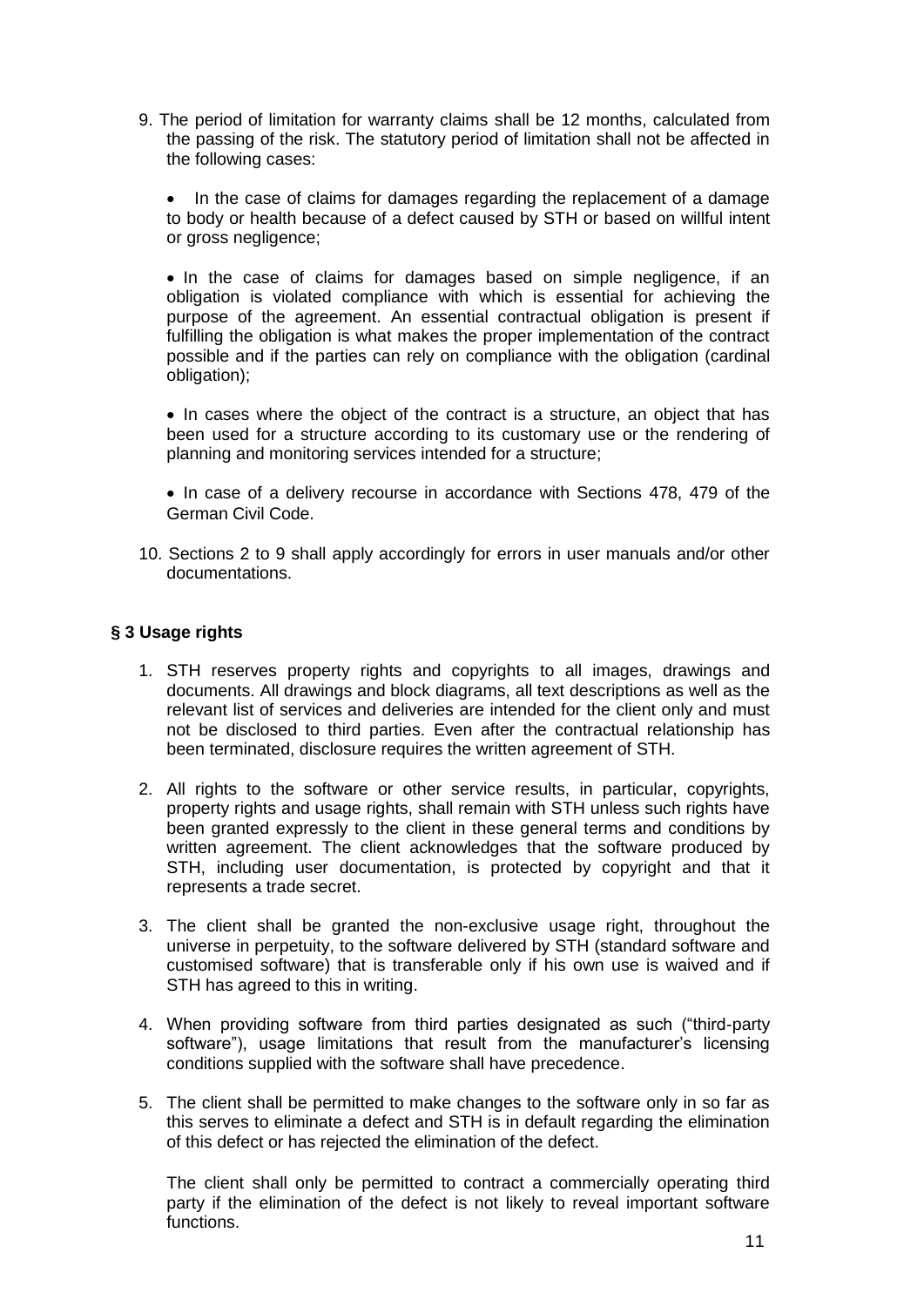9. The period of limitation for warranty claims shall be 12 months, calculated from the passing of the risk. The statutory period of limitation shall not be affected in the following cases:

• In the case of claims for damages regarding the replacement of a damage to body or health because of a defect caused by STH or based on willful intent or gross negligence;

• In the case of claims for damages based on simple negligence, if an obligation is violated compliance with which is essential for achieving the purpose of the agreement. An essential contractual obligation is present if fulfilling the obligation is what makes the proper implementation of the contract possible and if the parties can rely on compliance with the obligation (cardinal obligation);

• In cases where the object of the contract is a structure, an object that has been used for a structure according to its customary use or the rendering of planning and monitoring services intended for a structure;

• In case of a delivery recourse in accordance with Sections 478, 479 of the German Civil Code.

10. Sections 2 to 9 shall apply accordingly for errors in user manuals and/or other documentations.

## **§ 3 Usage rights**

- 1. STH reserves property rights and copyrights to all images, drawings and documents. All drawings and block diagrams, all text descriptions as well as the relevant list of services and deliveries are intended for the client only and must not be disclosed to third parties. Even after the contractual relationship has been terminated, disclosure requires the written agreement of STH.
- 2. All rights to the software or other service results, in particular, copyrights, property rights and usage rights, shall remain with STH unless such rights have been granted expressly to the client in these general terms and conditions by written agreement. The client acknowledges that the software produced by STH, including user documentation, is protected by copyright and that it represents a trade secret.
- 3. The client shall be granted the non-exclusive usage right, throughout the universe in perpetuity, to the software delivered by STH (standard software and customised software) that is transferable only if his own use is waived and if STH has agreed to this in writing.
- 4. When providing software from third parties designated as such ("third-party software"), usage limitations that result from the manufacturer's licensing conditions supplied with the software shall have precedence.
- 5. The client shall be permitted to make changes to the software only in so far as this serves to eliminate a defect and STH is in default regarding the elimination of this defect or has rejected the elimination of the defect.

The client shall only be permitted to contract a commercially operating third party if the elimination of the defect is not likely to reveal important software functions.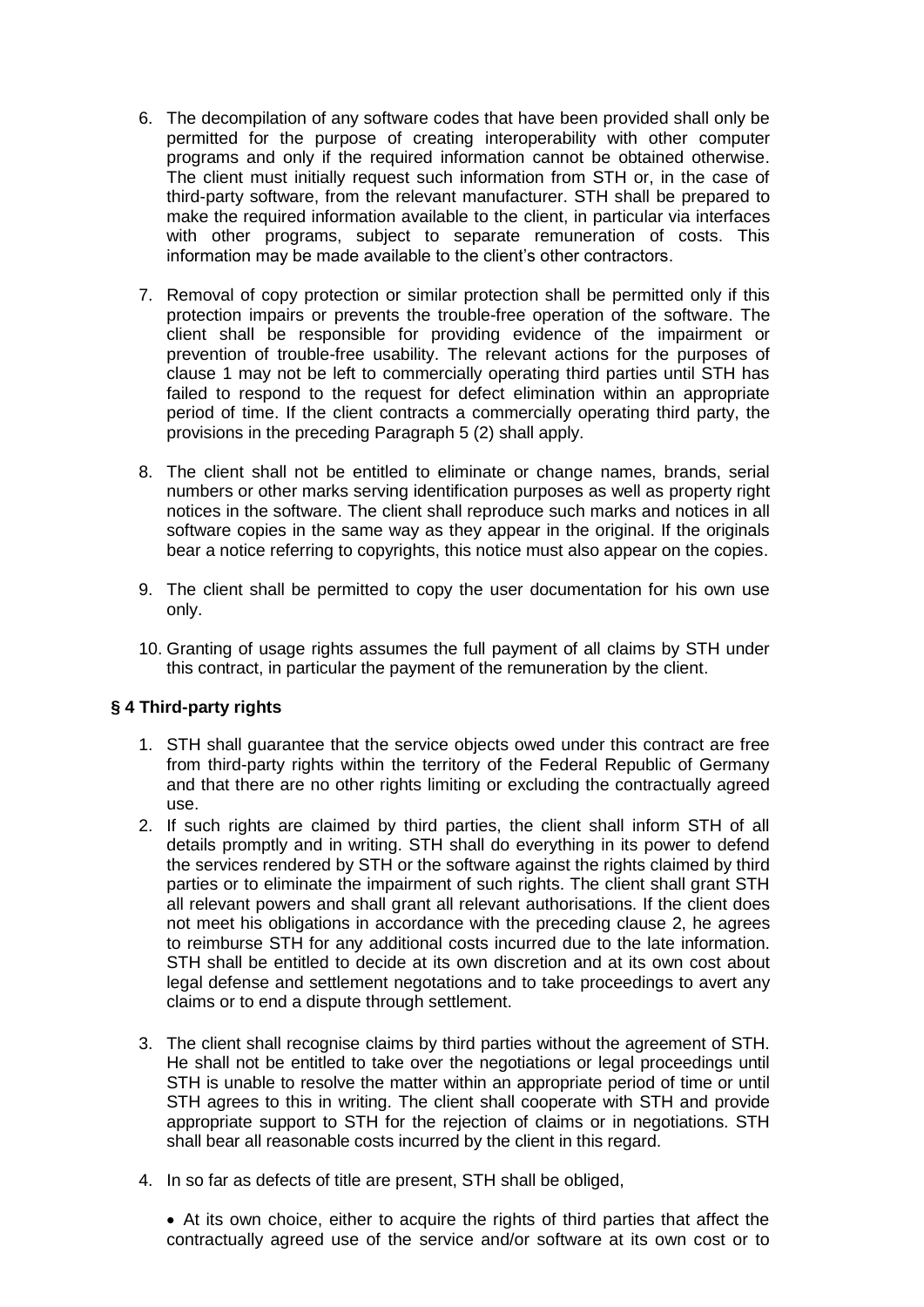- 6. The decompilation of any software codes that have been provided shall only be permitted for the purpose of creating interoperability with other computer programs and only if the required information cannot be obtained otherwise. The client must initially request such information from STH or, in the case of third-party software, from the relevant manufacturer. STH shall be prepared to make the required information available to the client, in particular via interfaces with other programs, subject to separate remuneration of costs. This information may be made available to the client's other contractors.
- 7. Removal of copy protection or similar protection shall be permitted only if this protection impairs or prevents the trouble-free operation of the software. The client shall be responsible for providing evidence of the impairment or prevention of trouble-free usability. The relevant actions for the purposes of clause 1 may not be left to commercially operating third parties until STH has failed to respond to the request for defect elimination within an appropriate period of time. If the client contracts a commercially operating third party, the provisions in the preceding Paragraph 5 (2) shall apply.
- 8. The client shall not be entitled to eliminate or change names, brands, serial numbers or other marks serving identification purposes as well as property right notices in the software. The client shall reproduce such marks and notices in all software copies in the same way as they appear in the original. If the originals bear a notice referring to copyrights, this notice must also appear on the copies.
- 9. The client shall be permitted to copy the user documentation for his own use only.
- 10. Granting of usage rights assumes the full payment of all claims by STH under this contract, in particular the payment of the remuneration by the client.

## **§ 4 Third-party rights**

- 1. STH shall guarantee that the service objects owed under this contract are free from third-party rights within the territory of the Federal Republic of Germany and that there are no other rights limiting or excluding the contractually agreed use.
- 2. If such rights are claimed by third parties, the client shall inform STH of all details promptly and in writing. STH shall do everything in its power to defend the services rendered by STH or the software against the rights claimed by third parties or to eliminate the impairment of such rights. The client shall grant STH all relevant powers and shall grant all relevant authorisations. If the client does not meet his obligations in accordance with the preceding clause 2, he agrees to reimburse STH for any additional costs incurred due to the late information. STH shall be entitled to decide at its own discretion and at its own cost about legal defense and settlement negotations and to take proceedings to avert any claims or to end a dispute through settlement.
- 3. The client shall recognise claims by third parties without the agreement of STH. He shall not be entitled to take over the negotiations or legal proceedings until STH is unable to resolve the matter within an appropriate period of time or until STH agrees to this in writing. The client shall cooperate with STH and provide appropriate support to STH for the rejection of claims or in negotiations. STH shall bear all reasonable costs incurred by the client in this regard.
- 4. In so far as defects of title are present, STH shall be obliged,

 At its own choice, either to acquire the rights of third parties that affect the contractually agreed use of the service and/or software at its own cost or to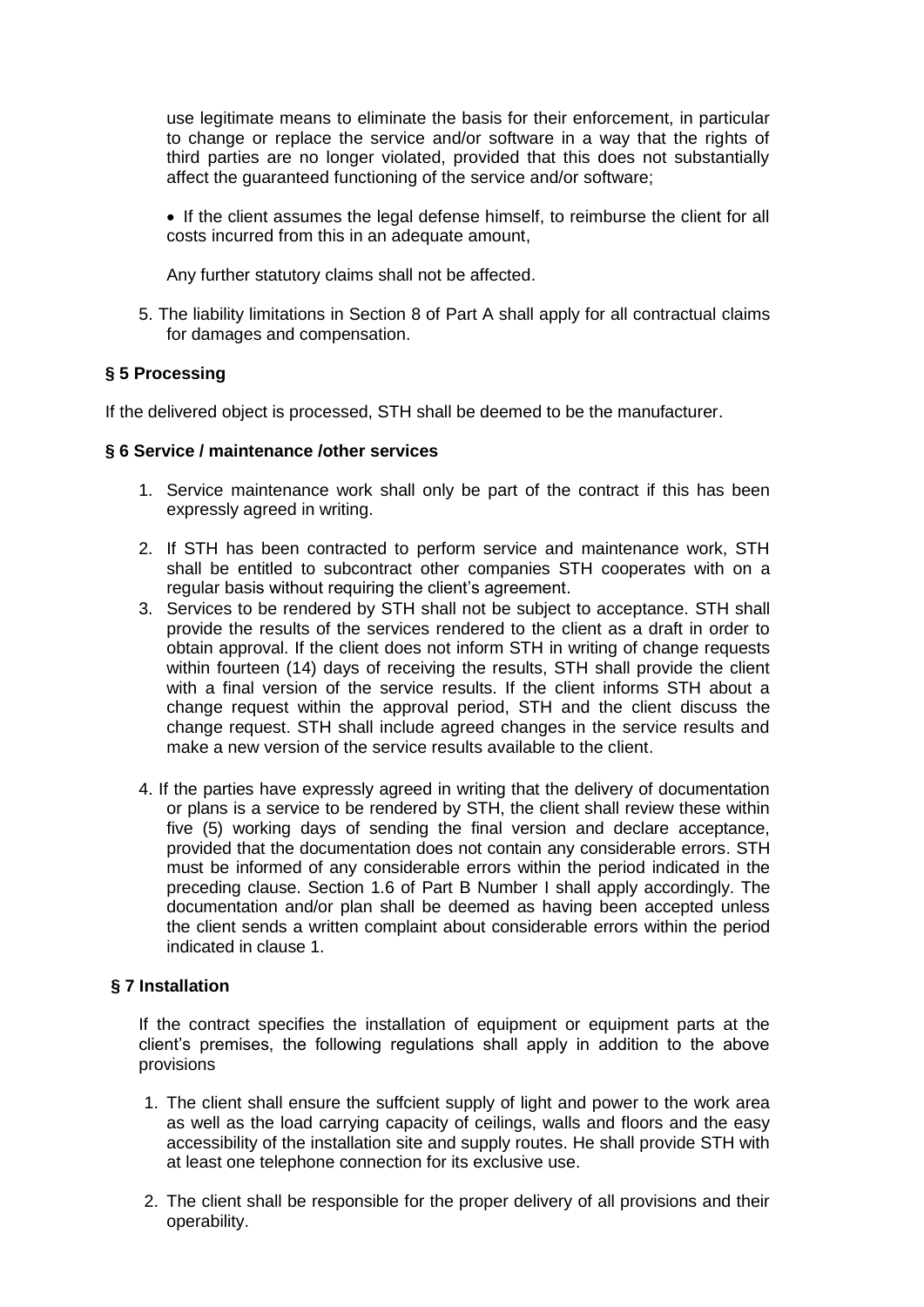use legitimate means to eliminate the basis for their enforcement, in particular to change or replace the service and/or software in a way that the rights of third parties are no longer violated, provided that this does not substantially affect the guaranteed functioning of the service and/or software;

 If the client assumes the legal defense himself, to reimburse the client for all costs incurred from this in an adequate amount,

Any further statutory claims shall not be affected.

5. The liability limitations in Section 8 of Part A shall apply for all contractual claims for damages and compensation.

## **§ 5 Processing**

If the delivered object is processed, STH shall be deemed to be the manufacturer.

### **§ 6 Service / maintenance /other services**

- 1. Service maintenance work shall only be part of the contract if this has been expressly agreed in writing.
- 2. If STH has been contracted to perform service and maintenance work, STH shall be entitled to subcontract other companies STH cooperates with on a regular basis without requiring the client's agreement.
- 3. Services to be rendered by STH shall not be subject to acceptance. STH shall provide the results of the services rendered to the client as a draft in order to obtain approval. If the client does not inform STH in writing of change requests within fourteen (14) days of receiving the results, STH shall provide the client with a final version of the service results. If the client informs STH about a change request within the approval period, STH and the client discuss the change request. STH shall include agreed changes in the service results and make a new version of the service results available to the client.
- 4. If the parties have expressly agreed in writing that the delivery of documentation or plans is a service to be rendered by STH, the client shall review these within five (5) working days of sending the final version and declare acceptance, provided that the documentation does not contain any considerable errors. STH must be informed of any considerable errors within the period indicated in the preceding clause. Section 1.6 of Part B Number I shall apply accordingly. The documentation and/or plan shall be deemed as having been accepted unless the client sends a written complaint about considerable errors within the period indicated in clause 1.

## **§ 7 Installation**

If the contract specifies the installation of equipment or equipment parts at the client's premises, the following regulations shall apply in addition to the above provisions

- 1. The client shall ensure the suffcient supply of light and power to the work area as well as the load carrying capacity of ceilings, walls and floors and the easy accessibility of the installation site and supply routes. He shall provide STH with at least one telephone connection for its exclusive use.
- 2. The client shall be responsible for the proper delivery of all provisions and their operability.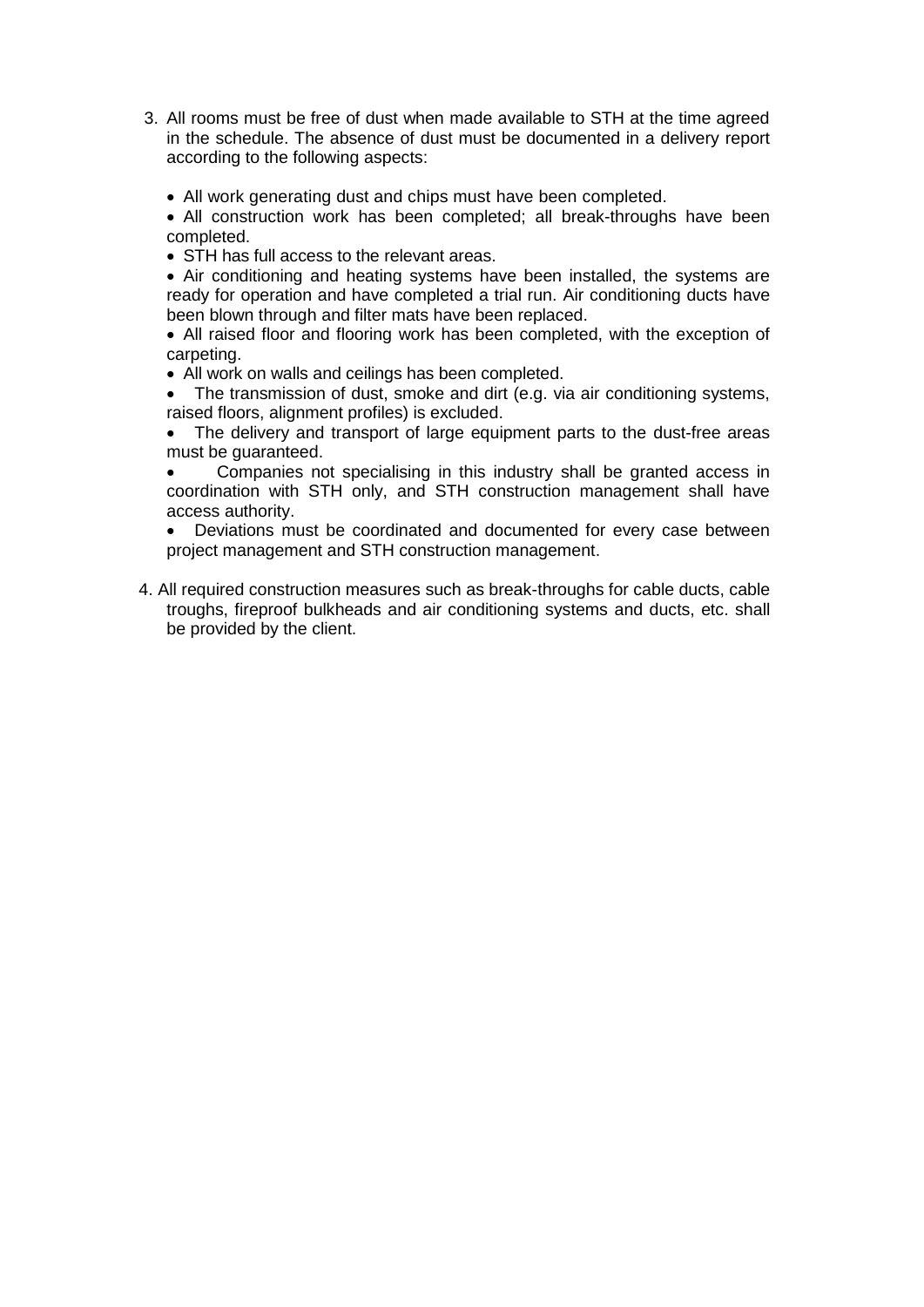- 3. All rooms must be free of dust when made available to STH at the time agreed in the schedule. The absence of dust must be documented in a delivery report according to the following aspects:
	- All work generating dust and chips must have been completed.
	- All construction work has been completed: all break-throughs have been completed.
	- STH has full access to the relevant areas.
	- Air conditioning and heating systems have been installed, the systems are ready for operation and have completed a trial run. Air conditioning ducts have been blown through and filter mats have been replaced.
	- All raised floor and flooring work has been completed, with the exception of carpeting.
	- All work on walls and ceilings has been completed.
	- The transmission of dust, smoke and dirt (e.g. via air conditioning systems, raised floors, alignment profiles) is excluded.
	- The delivery and transport of large equipment parts to the dust-free areas must be guaranteed.
	- Companies not specialising in this industry shall be granted access in coordination with STH only, and STH construction management shall have access authority.
	- Deviations must be coordinated and documented for every case between project management and STH construction management.
- 4. All required construction measures such as break-throughs for cable ducts, cable troughs, fireproof bulkheads and air conditioning systems and ducts, etc. shall be provided by the client.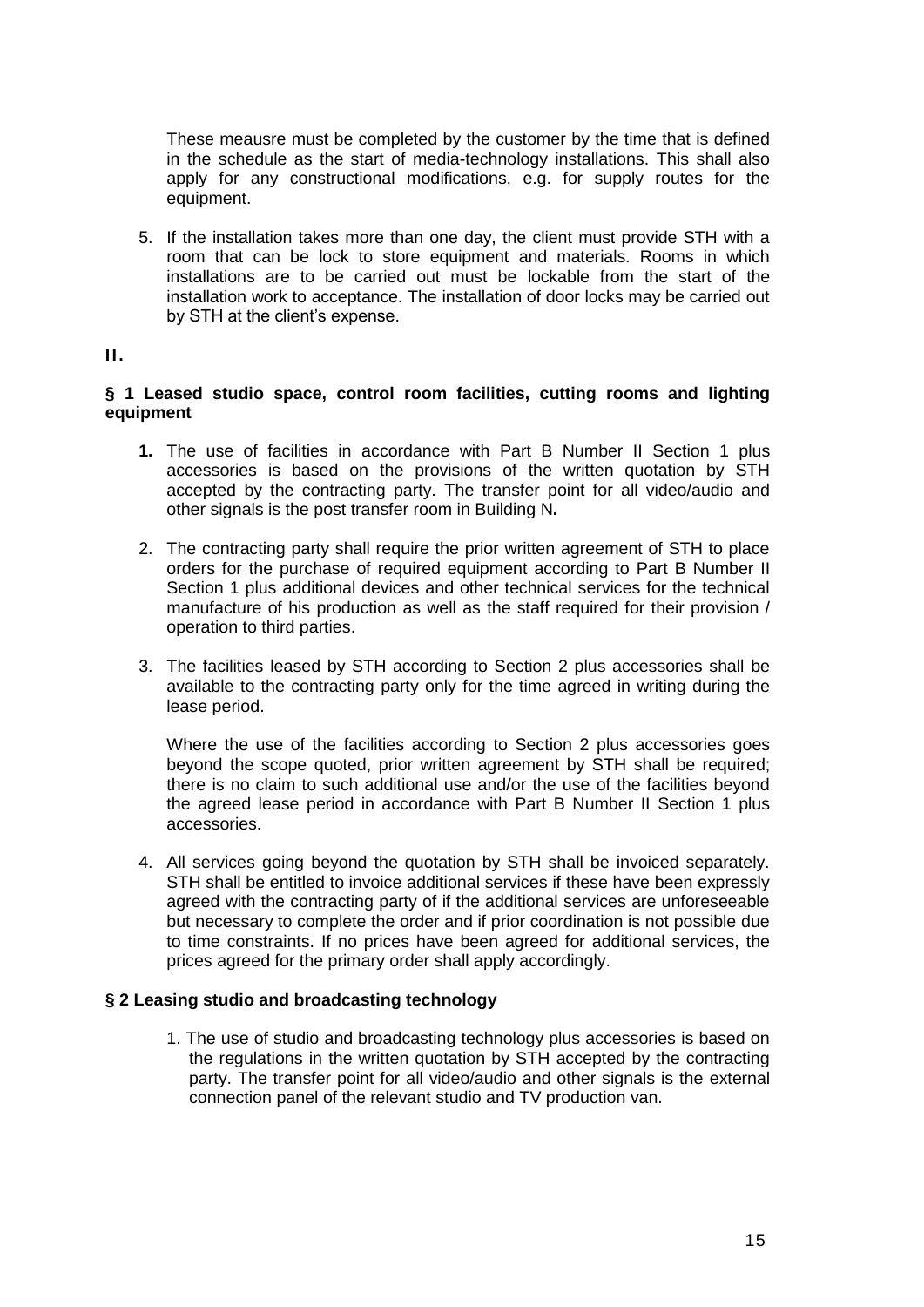These meausre must be completed by the customer by the time that is defined in the schedule as the start of media-technology installations. This shall also apply for any constructional modifications, e.g. for supply routes for the equipment.

5. If the installation takes more than one day, the client must provide STH with a room that can be lock to store equipment and materials. Rooms in which installations are to be carried out must be lockable from the start of the installation work to acceptance. The installation of door locks may be carried out by STH at the client's expense.

### **II.**

## **§ 1 Leased studio space, control room facilities, cutting rooms and lighting equipment**

- **1.** The use of facilities in accordance with Part B Number II Section 1 plus accessories is based on the provisions of the written quotation by STH accepted by the contracting party. The transfer point for all video/audio and other signals is the post transfer room in Building N**.**
- 2. The contracting party shall require the prior written agreement of STH to place orders for the purchase of required equipment according to Part B Number II Section 1 plus additional devices and other technical services for the technical manufacture of his production as well as the staff required for their provision / operation to third parties.
- 3. The facilities leased by STH according to Section 2 plus accessories shall be available to the contracting party only for the time agreed in writing during the lease period.

Where the use of the facilities according to Section 2 plus accessories goes beyond the scope quoted, prior written agreement by STH shall be required; there is no claim to such additional use and/or the use of the facilities beyond the agreed lease period in accordance with Part B Number II Section 1 plus accessories.

4. All services going beyond the quotation by STH shall be invoiced separately. STH shall be entitled to invoice additional services if these have been expressly agreed with the contracting party of if the additional services are unforeseeable but necessary to complete the order and if prior coordination is not possible due to time constraints. If no prices have been agreed for additional services, the prices agreed for the primary order shall apply accordingly.

## **§ 2 Leasing studio and broadcasting technology**

1. The use of studio and broadcasting technology plus accessories is based on the regulations in the written quotation by STH accepted by the contracting party. The transfer point for all video/audio and other signals is the external connection panel of the relevant studio and TV production van.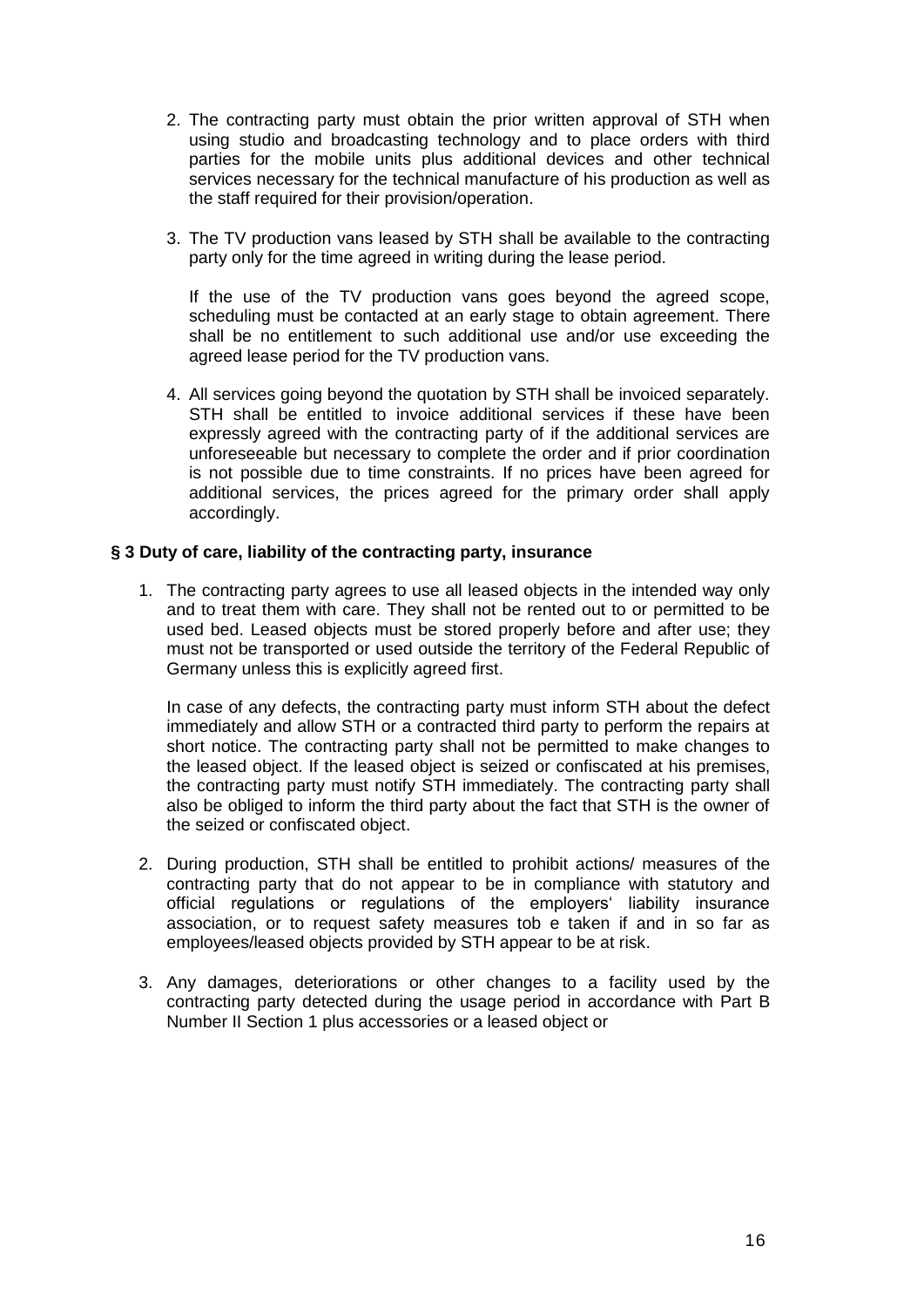- 2. The contracting party must obtain the prior written approval of STH when using studio and broadcasting technology and to place orders with third parties for the mobile units plus additional devices and other technical services necessary for the technical manufacture of his production as well as the staff required for their provision/operation.
- 3. The TV production vans leased by STH shall be available to the contracting party only for the time agreed in writing during the lease period.

If the use of the TV production vans goes beyond the agreed scope, scheduling must be contacted at an early stage to obtain agreement. There shall be no entitlement to such additional use and/or use exceeding the agreed lease period for the TV production vans.

4. All services going beyond the quotation by STH shall be invoiced separately. STH shall be entitled to invoice additional services if these have been expressly agreed with the contracting party of if the additional services are unforeseeable but necessary to complete the order and if prior coordination is not possible due to time constraints. If no prices have been agreed for additional services, the prices agreed for the primary order shall apply accordingly.

### **§ 3 Duty of care, liability of the contracting party, insurance**

1. The contracting party agrees to use all leased objects in the intended way only and to treat them with care. They shall not be rented out to or permitted to be used bed. Leased objects must be stored properly before and after use; they must not be transported or used outside the territory of the Federal Republic of Germany unless this is explicitly agreed first.

In case of any defects, the contracting party must inform STH about the defect immediately and allow STH or a contracted third party to perform the repairs at short notice. The contracting party shall not be permitted to make changes to the leased object. If the leased object is seized or confiscated at his premises, the contracting party must notify STH immediately. The contracting party shall also be obliged to inform the third party about the fact that STH is the owner of the seized or confiscated object.

- 2. During production, STH shall be entitled to prohibit actions/ measures of the contracting party that do not appear to be in compliance with statutory and official regulations or regulations of the employers' liability insurance association, or to request safety measures tob e taken if and in so far as employees/leased objects provided by STH appear to be at risk.
- 3. Any damages, deteriorations or other changes to a facility used by the contracting party detected during the usage period in accordance with Part B Number II Section 1 plus accessories or a leased object or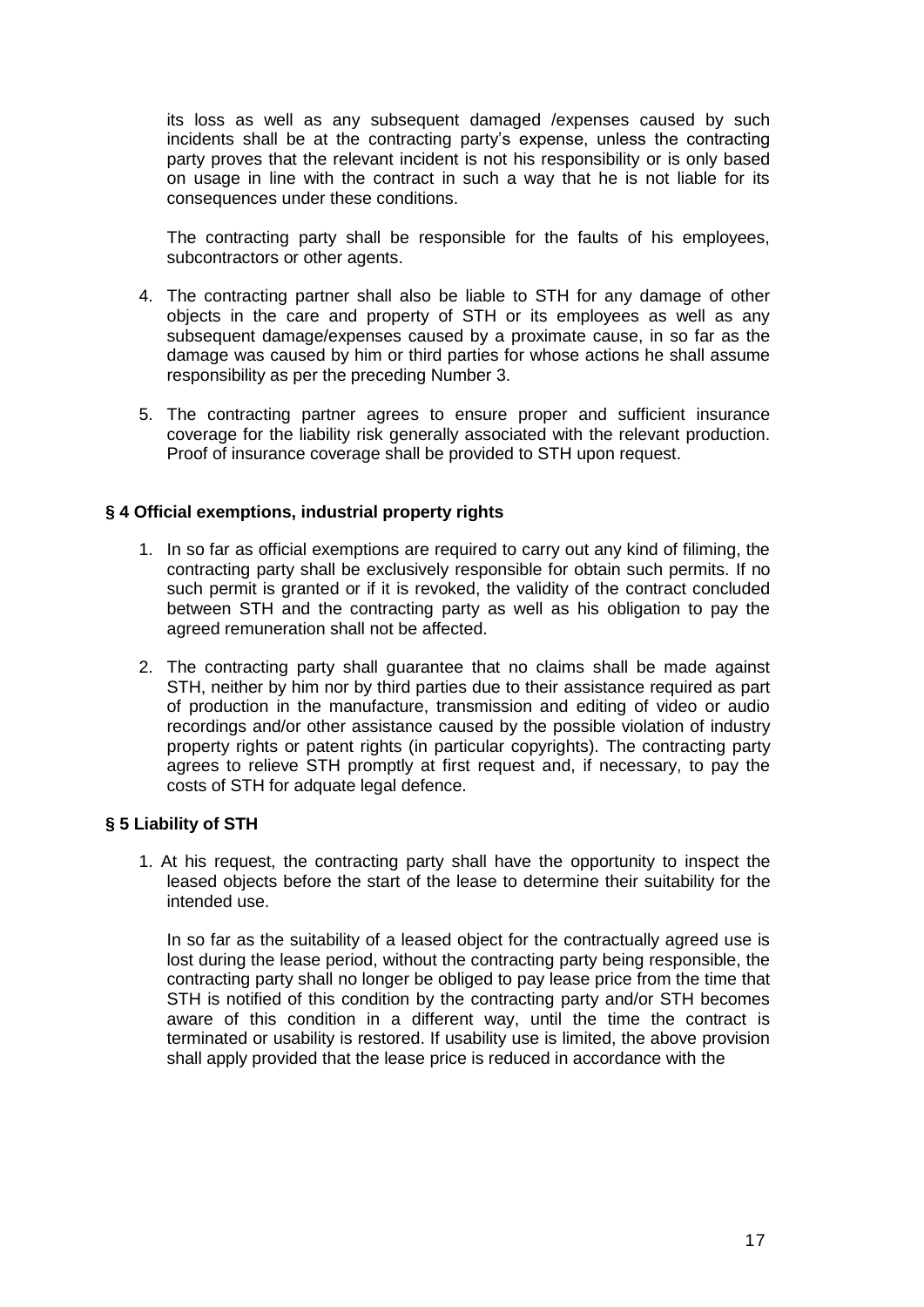its loss as well as any subsequent damaged /expenses caused by such incidents shall be at the contracting party's expense, unless the contracting party proves that the relevant incident is not his responsibility or is only based on usage in line with the contract in such a way that he is not liable for its consequences under these conditions.

The contracting party shall be responsible for the faults of his employees, subcontractors or other agents.

- 4. The contracting partner shall also be liable to STH for any damage of other objects in the care and property of STH or its employees as well as any subsequent damage/expenses caused by a proximate cause, in so far as the damage was caused by him or third parties for whose actions he shall assume responsibility as per the preceding Number 3.
- 5. The contracting partner agrees to ensure proper and sufficient insurance coverage for the liability risk generally associated with the relevant production. Proof of insurance coverage shall be provided to STH upon request.

## **§ 4 Official exemptions, industrial property rights**

- 1. In so far as official exemptions are required to carry out any kind of filiming, the contracting party shall be exclusively responsible for obtain such permits. If no such permit is granted or if it is revoked, the validity of the contract concluded between STH and the contracting party as well as his obligation to pay the agreed remuneration shall not be affected.
- 2. The contracting party shall guarantee that no claims shall be made against STH, neither by him nor by third parties due to their assistance required as part of production in the manufacture, transmission and editing of video or audio recordings and/or other assistance caused by the possible violation of industry property rights or patent rights (in particular copyrights). The contracting party agrees to relieve STH promptly at first request and, if necessary, to pay the costs of STH for adquate legal defence.

## **§ 5 Liability of STH**

1. At his request, the contracting party shall have the opportunity to inspect the leased objects before the start of the lease to determine their suitability for the intended use.

In so far as the suitability of a leased object for the contractually agreed use is lost during the lease period, without the contracting party being responsible, the contracting party shall no longer be obliged to pay lease price from the time that STH is notified of this condition by the contracting party and/or STH becomes aware of this condition in a different way, until the time the contract is terminated or usability is restored. If usability use is limited, the above provision shall apply provided that the lease price is reduced in accordance with the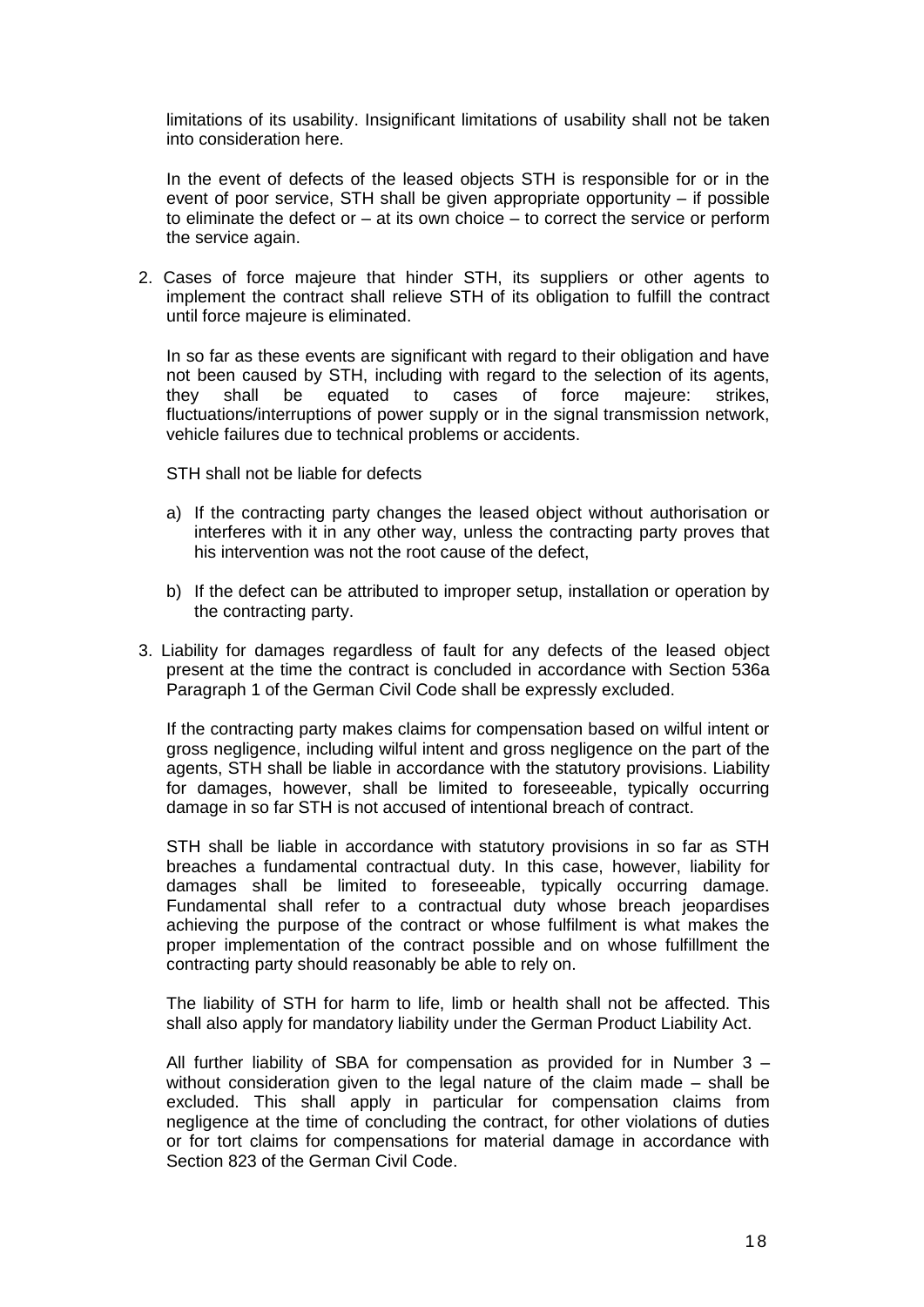limitations of its usability. Insignificant limitations of usability shall not be taken into consideration here.

In the event of defects of the leased objects STH is responsible for or in the event of poor service, STH shall be given appropriate opportunity – if possible to eliminate the defect or  $-$  at its own choice  $-$  to correct the service or perform the service again.

2. Cases of force majeure that hinder STH, its suppliers or other agents to implement the contract shall relieve STH of its obligation to fulfill the contract until force majeure is eliminated.

In so far as these events are significant with regard to their obligation and have not been caused by STH, including with regard to the selection of its agents, they shall be equated to cases of force majeure: strikes, fluctuations/interruptions of power supply or in the signal transmission network, vehicle failures due to technical problems or accidents.

STH shall not be liable for defects

- a) If the contracting party changes the leased object without authorisation or interferes with it in any other way, unless the contracting party proves that his intervention was not the root cause of the defect,
- b) If the defect can be attributed to improper setup, installation or operation by the contracting party.
- 3. Liability for damages regardless of fault for any defects of the leased object present at the time the contract is concluded in accordance with Section 536a Paragraph 1 of the German Civil Code shall be expressly excluded.

If the contracting party makes claims for compensation based on wilful intent or gross negligence, including wilful intent and gross negligence on the part of the agents, STH shall be liable in accordance with the statutory provisions. Liability for damages, however, shall be limited to foreseeable, typically occurring damage in so far STH is not accused of intentional breach of contract.

STH shall be liable in accordance with statutory provisions in so far as STH breaches a fundamental contractual duty. In this case, however, liability for damages shall be limited to foreseeable, typically occurring damage. Fundamental shall refer to a contractual duty whose breach jeopardises achieving the purpose of the contract or whose fulfilment is what makes the proper implementation of the contract possible and on whose fulfillment the contracting party should reasonably be able to rely on.

The liability of STH for harm to life, limb or health shall not be affected. This shall also apply for mandatory liability under the German Product Liability Act.

All further liability of SBA for compensation as provided for in Number 3 – without consideration given to the legal nature of the claim made – shall be excluded. This shall apply in particular for compensation claims from negligence at the time of concluding the contract, for other violations of duties or for tort claims for compensations for material damage in accordance with Section 823 of the German Civil Code.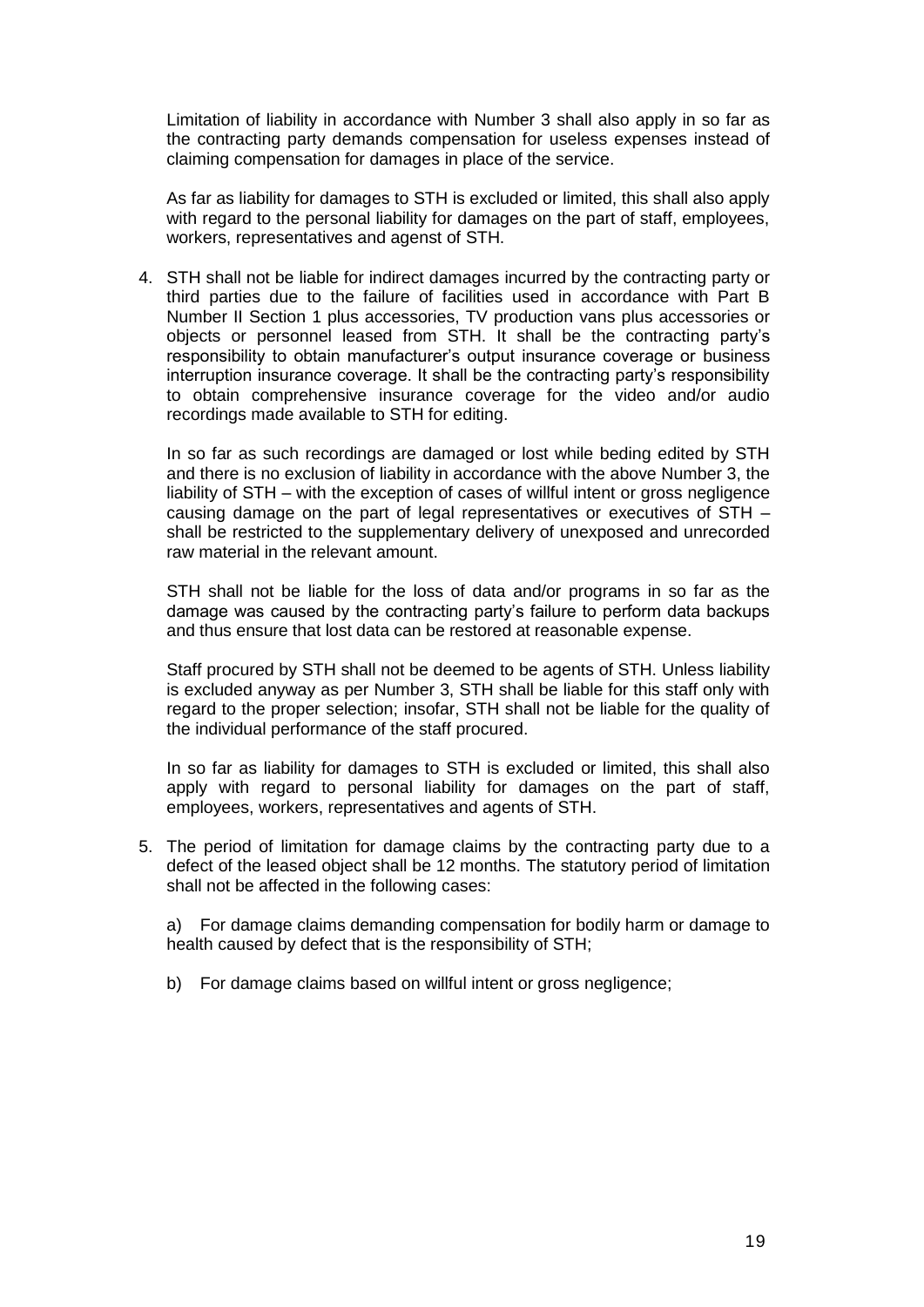Limitation of liability in accordance with Number 3 shall also apply in so far as the contracting party demands compensation for useless expenses instead of claiming compensation for damages in place of the service.

As far as liability for damages to STH is excluded or limited, this shall also apply with regard to the personal liability for damages on the part of staff, employees, workers, representatives and agenst of STH.

4. STH shall not be liable for indirect damages incurred by the contracting party or third parties due to the failure of facilities used in accordance with Part B Number II Section 1 plus accessories, TV production vans plus accessories or objects or personnel leased from STH. It shall be the contracting party's responsibility to obtain manufacturer's output insurance coverage or business interruption insurance coverage. It shall be the contracting party's responsibility to obtain comprehensive insurance coverage for the video and/or audio recordings made available to STH for editing.

In so far as such recordings are damaged or lost while beding edited by STH and there is no exclusion of liability in accordance with the above Number 3, the liability of STH – with the exception of cases of willful intent or gross negligence causing damage on the part of legal representatives or executives of STH – shall be restricted to the supplementary delivery of unexposed and unrecorded raw material in the relevant amount.

STH shall not be liable for the loss of data and/or programs in so far as the damage was caused by the contracting party's failure to perform data backups and thus ensure that lost data can be restored at reasonable expense.

Staff procured by STH shall not be deemed to be agents of STH. Unless liability is excluded anyway as per Number 3, STH shall be liable for this staff only with regard to the proper selection; insofar, STH shall not be liable for the quality of the individual performance of the staff procured.

In so far as liability for damages to STH is excluded or limited, this shall also apply with regard to personal liability for damages on the part of staff, employees, workers, representatives and agents of STH.

5. The period of limitation for damage claims by the contracting party due to a defect of the leased object shall be 12 months. The statutory period of limitation shall not be affected in the following cases:

a) For damage claims demanding compensation for bodily harm or damage to health caused by defect that is the responsibility of STH;

b) For damage claims based on willful intent or gross negligence;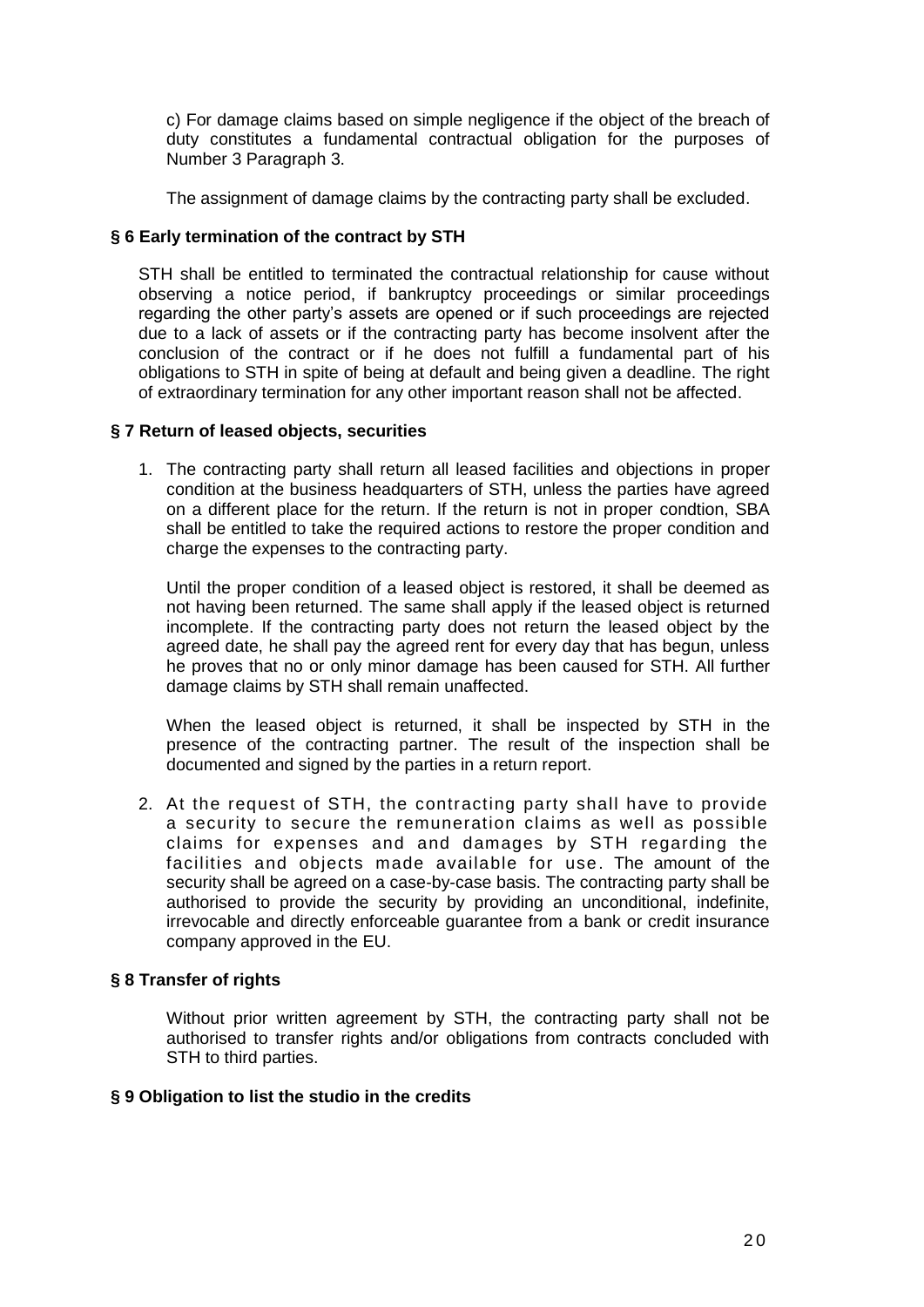c) For damage claims based on simple negligence if the object of the breach of duty constitutes a fundamental contractual obligation for the purposes of Number 3 Paragraph 3.

The assignment of damage claims by the contracting party shall be excluded.

## **§ 6 Early termination of the contract by STH**

STH shall be entitled to terminated the contractual relationship for cause without observing a notice period, if bankruptcy proceedings or similar proceedings regarding the other party's assets are opened or if such proceedings are rejected due to a lack of assets or if the contracting party has become insolvent after the conclusion of the contract or if he does not fulfill a fundamental part of his obligations to STH in spite of being at default and being given a deadline. The right of extraordinary termination for any other important reason shall not be affected.

## **§ 7 Return of leased objects, securities**

1. The contracting party shall return all leased facilities and objections in proper condition at the business headquarters of STH, unless the parties have agreed on a different place for the return. If the return is not in proper condtion, SBA shall be entitled to take the required actions to restore the proper condition and charge the expenses to the contracting party.

Until the proper condition of a leased object is restored, it shall be deemed as not having been returned. The same shall apply if the leased object is returned incomplete. If the contracting party does not return the leased object by the agreed date, he shall pay the agreed rent for every day that has begun, unless he proves that no or only minor damage has been caused for STH. All further damage claims by STH shall remain unaffected.

When the leased object is returned, it shall be inspected by STH in the presence of the contracting partner. The result of the inspection shall be documented and signed by the parties in a return report.

2. At the request of STH, the contracting party shall have to provide a security to secure the remuneration claims as well as possible claims for expenses and and damages by STH regarding the facilities and objects made available for use. The amount of the security shall be agreed on a case-by-case basis. The contracting party shall be authorised to provide the security by providing an unconditional, indefinite, irrevocable and directly enforceable guarantee from a bank or credit insurance company approved in the EU.

## **§ 8 Transfer of rights**

Without prior written agreement by STH, the contracting party shall not be authorised to transfer rights and/or obligations from contracts concluded with STH to third parties.

## **§ 9 Obligation to list the studio in the credits**